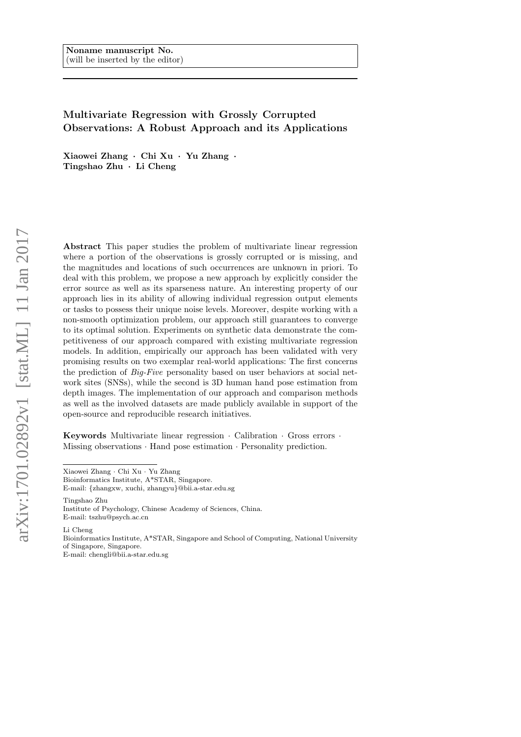# Multivariate Regression with Grossly Corrupted Observations: A Robust Approach and its Applications

Xiaowei Zhang · Chi Xu · Yu Zhang · Tingshao Zhu · Li Cheng

Abstract This paper studies the problem of multivariate linear regression where a portion of the observations is grossly corrupted or is missing, and the magnitudes and locations of such occurrences are unknown in priori. To deal with this problem, we propose a new approach by explicitly consider the error source as well as its sparseness nature. An interesting property of our approach lies in its ability of allowing individual regression output elements or tasks to possess their unique noise levels. Moreover, despite working with a non-smooth optimization problem, our approach still guarantees to converge to its optimal solution. Experiments on synthetic data demonstrate the competitiveness of our approach compared with existing multivariate regression models. In addition, empirically our approach has been validated with very promising results on two exemplar real-world applications: The first concerns the prediction of Big-Five personality based on user behaviors at social network sites (SNSs), while the second is 3D human hand pose estimation from depth images. The implementation of our approach and comparison methods as well as the involved datasets are made publicly available in support of the open-source and reproducible research initiatives.

Keywords Multivariate linear regression · Calibration · Gross errors · Missing observations · Hand pose estimation · Personality prediction.

Xiaowei Zhang · Chi Xu · Yu Zhang

E-mail: {zhangxw, xuchi, zhangyu}@bii.a-star.edu.sg

Tingshao Zhu Institute of Psychology, Chinese Academy of Sciences, China. E-mail: tszhu@psych.ac.cn

Li Cheng Bioinformatics Institute, A\*STAR, Singapore and School of Computing, National University of Singapore, Singapore. E-mail: chengli@bii.a-star.edu.sg

Bioinformatics Institute, A\*STAR, Singapore.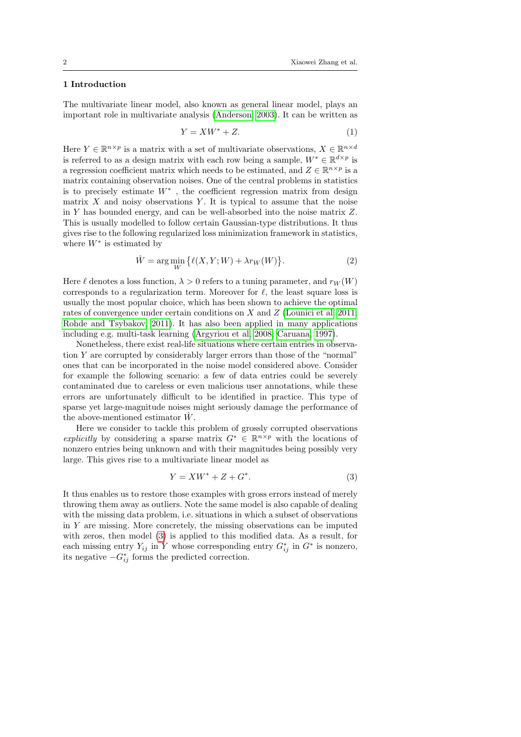# 1 Introduction

The multivariate linear model, also known as general linear model, plays an important role in multivariate analysis [\(Anderson, 2003\)](#page-22-0). It can be written as

<span id="page-1-1"></span>
$$
Y = XW^* + Z.\t\t(1)
$$

Here  $Y \in \mathbb{R}^{n \times p}$  is a matrix with a set of multivariate observations,  $X \in \mathbb{R}^{n \times d}$ is referred to as a design matrix with each row being a sample,  $W^* \in \mathbb{R}^{d \times p}$  is a regression coefficient matrix which needs to be estimated, and  $Z \in \mathbb{R}^{n \times p}$  is a matrix containing observation noises. One of the central problems in statistics is to precisely estimate  $W^*$ , the coefficient regression matrix from design matrix  $X$  and noisy observations  $Y$ . It is typical to assume that the noise in Y has bounded energy, and can be well-absorbed into the noise matrix Z. This is usually modelled to follow certain Gaussian-type distributions. It thus gives rise to the following regularized loss minimization framework in statistics, where  $W^*$  is estimated by

<span id="page-1-2"></span>
$$
\hat{W} = \arg\min_{W} \{ \ell(X, Y; W) + \lambda r_W(W) \}.
$$
\n(2)

Here  $\ell$  denotes a loss function,  $\lambda > 0$  refers to a tuning parameter, and  $r_W(W)$ corresponds to a regularization term. Moreover for  $\ell$ , the least square loss is usually the most popular choice, which has been shown to achieve the optimal rates of convergence under certain conditions on X and Z [\(Lounici et al, 2011;](#page-23-0) [Rohde and Tsybakov, 2011\)](#page-24-0). It has also been applied in many applications including e.g. multi-task learning [\(Argyriou et al, 2008;](#page-22-1) [Caruana, 1997\)](#page-22-2).

Nonetheless, there exist real-life situations where certain entries in observation Y are corrupted by considerably larger errors than those of the "normal" ones that can be incorporated in the noise model considered above. Consider for example the following scenario: a few of data entries could be severely contaminated due to careless or even malicious user annotations, while these errors are unfortunately difficult to be identified in practice. This type of sparse yet large-magnitude noises might seriously damage the performance of the above-mentioned estimator  $\hat{W}$ .

Here we consider to tackle this problem of grossly corrupted observations explicitly by considering a sparse matrix  $G^* \in \mathbb{R}^{n \times p}$  with the locations of nonzero entries being unknown and with their magnitudes being possibly very large. This gives rise to a multivariate linear model as

<span id="page-1-0"></span>
$$
Y = XW^* + Z + G^*.
$$
 (3)

It thus enables us to restore those examples with gross errors instead of merely throwing them away as outliers. Note the same model is also capable of dealing with the missing data problem, i.e. situations in which a subset of observations in Y are missing. More concretely, the missing observations can be imputed with zeros, then model [\(3\)](#page-1-0) is applied to this modified data. As a result, for each missing entry  $Y_{ij}$  in Y whose corresponding entry  $G_{ij}^*$  in  $G^*$  is nonzero, its negative  $-G_{ij}^*$  forms the predicted correction.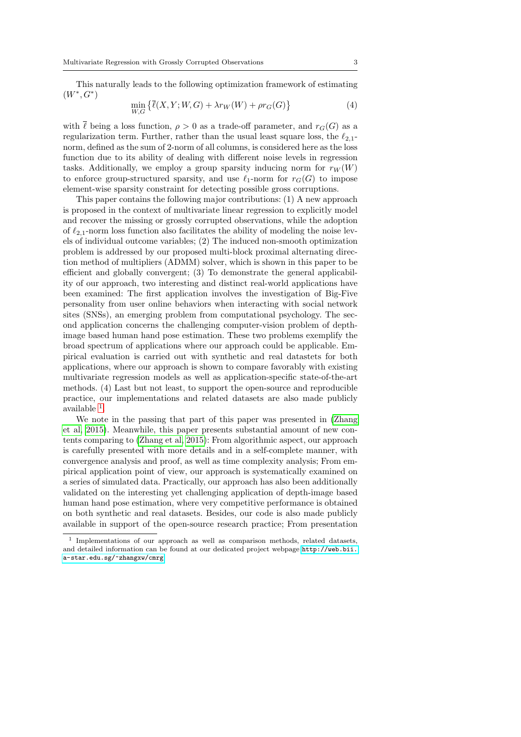This naturally leads to the following optimization framework of estimating  $(W^*, G^*)$ 

<span id="page-2-1"></span>
$$
\min_{W,G} \left\{ \overline{\ell}(X,Y;W,G) + \lambda r_W(W) + \rho r_G(G) \right\} \tag{4}
$$

with  $\overline{\ell}$  being a loss function,  $\rho > 0$  as a trade-off parameter, and  $r_G(G)$  as a regularization term. Further, rather than the usual least square loss, the  $\ell_{2,1}$ norm, defined as the sum of 2-norm of all columns, is considered here as the loss function due to its ability of dealing with different noise levels in regression tasks. Additionally, we employ a group sparsity inducing norm for  $r_W(W)$ to enforce group-structured sparsity, and use  $\ell_1$ -norm for  $r_G(G)$  to impose element-wise sparsity constraint for detecting possible gross corruptions.

This paper contains the following major contributions: (1) A new approach is proposed in the context of multivariate linear regression to explicitly model and recover the missing or grossly corrupted observations, while the adoption of  $\ell_{2,1}$ -norm loss function also facilitates the ability of modeling the noise levels of individual outcome variables; (2) The induced non-smooth optimization problem is addressed by our proposed multi-block proximal alternating direction method of multipliers (ADMM) solver, which is shown in this paper to be efficient and globally convergent; (3) To demonstrate the general applicability of our approach, two interesting and distinct real-world applications have been examined: The first application involves the investigation of Big-Five personality from user online behaviors when interacting with social network sites (SNSs), an emerging problem from computational psychology. The second application concerns the challenging computer-vision problem of depthimage based human hand pose estimation. These two problems exemplify the broad spectrum of applications where our approach could be applicable. Empirical evaluation is carried out with synthetic and real datastets for both applications, where our approach is shown to compare favorably with existing multivariate regression models as well as application-specific state-of-the-art methods. (4) Last but not least, to support the open-source and reproducible practice, our implementations and related datasets are also made publicly available [1](#page-2-0) .

We note in the passing that part of this paper was presented in [\(Zhang](#page-24-1) [et al, 2015\)](#page-24-1). Meanwhile, this paper presents substantial amount of new contents comparing to [\(Zhang et al, 2015\)](#page-24-1): From algorithmic aspect, our approach is carefully presented with more details and in a self-complete manner, with convergence analysis and proof, as well as time complexity analysis; From empirical application point of view, our approach is systematically examined on a series of simulated data. Practically, our approach has also been additionally validated on the interesting yet challenging application of depth-image based human hand pose estimation, where very competitive performance is obtained on both synthetic and real datasets. Besides, our code is also made publicly available in support of the open-source research practice; From presentation

<span id="page-2-0"></span><sup>1</sup> Implementations of our approach as well as comparison methods, related datasets, and detailed information can be found at our dedicated project webpage [http://web.bii.](http://web.bii.a-star.edu.sg/~zhangxw/cmrg) [a-star.edu.sg/~zhangxw/cmrg](http://web.bii.a-star.edu.sg/~zhangxw/cmrg).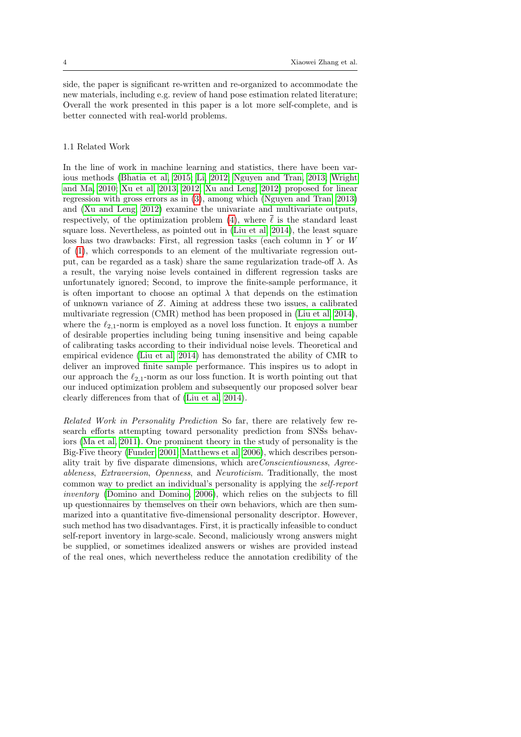side, the paper is significant re-written and re-organized to accommodate the new materials, including e.g. review of hand pose estimation related literature; Overall the work presented in this paper is a lot more self-complete, and is better connected with real-world problems.

# 1.1 Related Work

In the line of work in machine learning and statistics, there have been various methods [\(Bhatia et al, 2015;](#page-22-3) [Li, 2012;](#page-23-1) [Nguyen and Tran, 2013;](#page-23-2) [Wright](#page-24-2) [and Ma, 2010;](#page-24-2) [Xu et al, 2013,](#page-24-3) [2012;](#page-24-4) [Xu and Leng, 2012\)](#page-24-5) proposed for linear regression with gross errors as in [\(3\)](#page-1-0), among which [\(Nguyen and Tran, 2013\)](#page-23-2) and [\(Xu and Leng, 2012\)](#page-24-5) examine the univariate and multivariate outputs, respectively, of the optimization problem [\(4\)](#page-2-1), where  $\bar{\ell}$  is the standard least square loss. Nevertheless, as pointed out in [\(Liu et al, 2014\)](#page-23-3), the least square loss has two drawbacks: First, all regression tasks (each column in Y or W of [\(1\)](#page-1-1), which corresponds to an element of the multivariate regression output, can be regarded as a task) share the same regularization trade-off  $\lambda$ . As a result, the varying noise levels contained in different regression tasks are unfortunately ignored; Second, to improve the finite-sample performance, it is often important to choose an optimal  $\lambda$  that depends on the estimation of unknown variance of Z. Aiming at address these two issues, a calibrated multivariate regression (CMR) method has been proposed in [\(Liu et al, 2014\)](#page-23-3), where the  $\ell_{2,1}$ -norm is employed as a novel loss function. It enjoys a number of desirable properties including being tuning insensitive and being capable of calibrating tasks according to their individual noise levels. Theoretical and empirical evidence [\(Liu et al, 2014\)](#page-23-3) has demonstrated the ability of CMR to deliver an improved finite sample performance. This inspires us to adopt in our approach the  $\ell_{2,1}$ -norm as our loss function. It is worth pointing out that our induced optimization problem and subsequently our proposed solver bear clearly differences from that of [\(Liu et al, 2014\)](#page-23-3).

Related Work in Personality Prediction So far, there are relatively few research efforts attempting toward personality prediction from SNSs behaviors [\(Ma et al, 2011\)](#page-23-4). One prominent theory in the study of personality is the Big-Five theory [\(Funder, 2001;](#page-23-5) [Matthews et al, 2006\)](#page-23-6), which describes personality trait by five disparate dimensions, which areConscientiousness, Agreeableness, Extraversion, Openness, and Neuroticism. Traditionally, the most common way to predict an individual's personality is applying the self-report inventory [\(Domino and Domino, 2006\)](#page-22-4), which relies on the subjects to fill up questionnaires by themselves on their own behaviors, which are then summarized into a quantitative five-dimensional personality descriptor. However, such method has two disadvantages. First, it is practically infeasible to conduct self-report inventory in large-scale. Second, maliciously wrong answers might be supplied, or sometimes idealized answers or wishes are provided instead of the real ones, which nevertheless reduce the annotation credibility of the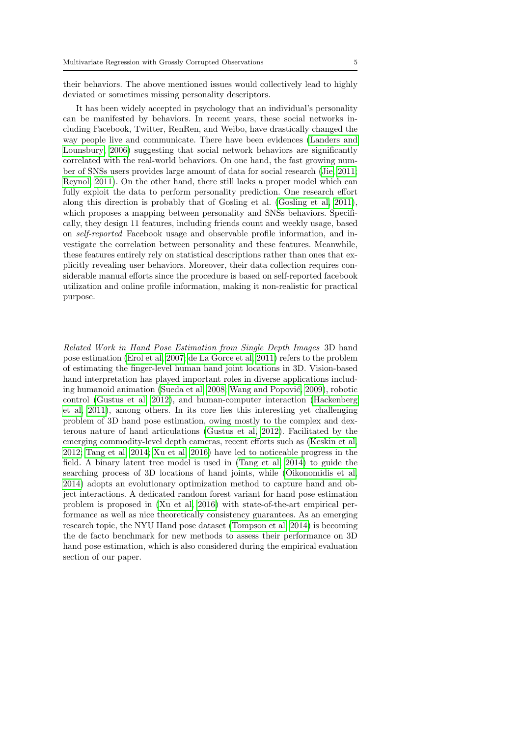their behaviors. The above mentioned issues would collectively lead to highly deviated or sometimes missing personality descriptors.

It has been widely accepted in psychology that an individual's personality can be manifested by behaviors. In recent years, these social networks including Facebook, Twitter, RenRen, and Weibo, have drastically changed the way people live and communicate. There have been evidences [\(Landers and](#page-23-7) [Lounsbury, 2006\)](#page-23-7) suggesting that social network behaviors are significantly correlated with the real-world behaviors. On one hand, the fast growing number of SNSs users provides large amount of data for social research [\(Jie, 2011;](#page-23-8) [Reynol, 2011\)](#page-23-9). On the other hand, there still lacks a proper model which can fully exploit the data to perform personality prediction. One research effort along this direction is probably that of Gosling et al. [\(Gosling et al, 2011\)](#page-23-10), which proposes a mapping between personality and SNSs behaviors. Specifically, they design 11 features, including friends count and weekly usage, based on self-reported Facebook usage and observable profile information, and investigate the correlation between personality and these features. Meanwhile, these features entirely rely on statistical descriptions rather than ones that explicitly revealing user behaviors. Moreover, their data collection requires considerable manual efforts since the procedure is based on self-reported facebook utilization and online profile information, making it non-realistic for practical purpose.

Related Work in Hand Pose Estimation from Single Depth Images 3D hand pose estimation [\(Erol et al, 2007;](#page-22-5) [de La Gorce et al, 2011\)](#page-23-11) refers to the problem of estimating the finger-level human hand joint locations in 3D. Vision-based hand interpretation has played important roles in diverse applications includ-ing humanoid animation [\(Sueda et al, 2008;](#page-24-6) Wang and Popović, 2009), robotic control [\(Gustus et al, 2012\)](#page-23-12), and human-computer interaction [\(Hackenberg](#page-23-13) [et al, 2011\)](#page-23-13), among others. In its core lies this interesting yet challenging problem of 3D hand pose estimation, owing mostly to the complex and dexterous nature of hand articulations [\(Gustus et al, 2012\)](#page-23-12). Facilitated by the emerging commodity-level depth cameras, recent efforts such as [\(Keskin et al,](#page-23-14) [2012;](#page-23-14) [Tang et al, 2014;](#page-24-8) [Xu et al, 2016\)](#page-24-9) have led to noticeable progress in the field. A binary latent tree model is used in [\(Tang et al, 2014\)](#page-24-8) to guide the searching process of 3D locations of hand joints, while [\(Oikonomidis et al,](#page-23-15) [2014\)](#page-23-15) adopts an evolutionary optimization method to capture hand and object interactions. A dedicated random forest variant for hand pose estimation problem is proposed in [\(Xu et al, 2016\)](#page-24-9) with state-of-the-art empirical performance as well as nice theoretically consistency guarantees. As an emerging research topic, the NYU Hand pose dataset [\(Tompson et al, 2014\)](#page-24-10) is becoming the de facto benchmark for new methods to assess their performance on 3D hand pose estimation, which is also considered during the empirical evaluation section of our paper.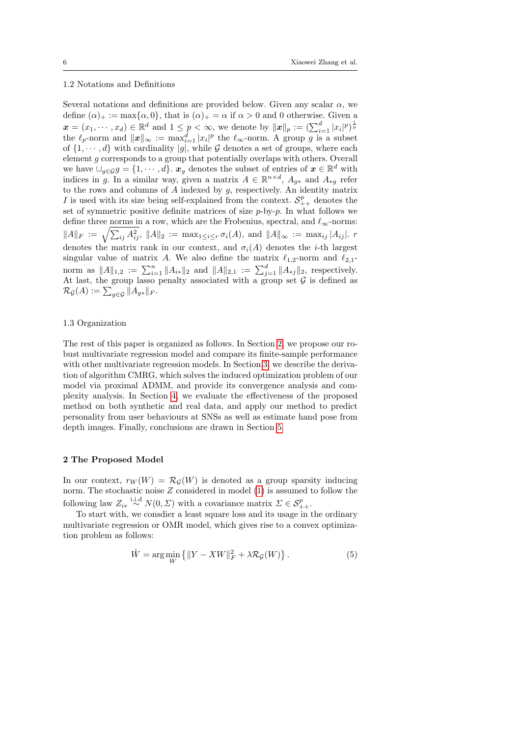# 1.2 Notations and Definitions

Several notations and definitions are provided below. Given any scalar  $\alpha$ , we define  $(\alpha)_+ := \max{\{\alpha, 0\}}$ , that is  $(\alpha)_+ = \alpha$  if  $\alpha > 0$  and 0 otherwise. Given a  $\boldsymbol{x} = (x_1, \dots, x_d) \in \mathbb{R}^d$  and  $1 \leq p < \infty$ , we denote by  $\|\boldsymbol{x}\|_p := \left(\sum_{i=1}^d |x_i|^p\right)^{\frac{1}{p}}$ the  $\ell_p$ -norm and  $||x||_{\infty} := \max_{i=1}^d |x_i|^p$  the  $\ell_{\infty}$ -norm. A group g is a subset of  $\{1, \dots, d\}$  with cardinality |g|, while G denotes a set of groups, where each element g corresponds to a group that potentially overlaps with others. Overall we have  $\bigcup_{g \in \mathcal{G}} g = \{1, \dots, d\}$ .  $x_g$  denotes the subset of entries of  $x \in \mathbb{R}^d$  with indices in g. In a similar way, given a matrix  $A \in \mathbb{R}^{n \times d}$ ,  $A_{g*}$  and  $A_{*g}$  refer to the rows and columns of  $A$  indexed by  $g$ , respectively. An identity matrix I is used with its size being self-explained from the context.  $S_{++}^p$  denotes the set of symmetric positive definite matrices of size  $p$ -by- $p$ . In what follows we define three norms in a row, which are the Frobenius, spectral, and  $\ell_{\infty}$ -norms:  $||A||_F := \sqrt{\sum_{ij} A_{ij}^2}$ ,  $||A||_2 := \max_{1 \leq i \leq r} \sigma_i(A)$ , and  $||A||_{\infty} := \max_{ij} |A_{ij}|$ . r denotes the matrix rank in our context, and  $\sigma_i(A)$  denotes the *i*-th largest singular value of matrix A. We also define the matrix  $\ell_{1,2}$ -norm and  $\ell_{2,1}$ norm as  $||A||_{1,2} := \sum_{i=1}^n ||A_{i*}||_2$  and  $||A||_{2,1} := \sum_{j=1}^d ||A_{*j}||_2$ , respectively. At last, the group lasso penalty associated with a group set  $\mathcal G$  is defined as  $\mathcal{R}_{\mathcal{G}}(A) := \sum_{g \in \mathcal{G}} \|A_{g*}\|_F.$ 

# 1.3 Organization

The rest of this paper is organized as follows. In Section [2,](#page-5-0) we propose our robust multivariate regression model and compare its finite-sample performance with other multivariate regression models. In Section [3,](#page-7-0) we describe the derivation of algorithm CMRG, which solves the induced optimization problem of our model via proximal ADMM, and provide its convergence analysis and complexity analysis. In Section [4,](#page-11-0) we evaluate the effectiveness of the proposed method on both synthetic and real data, and apply our method to predict personality from user behaviours at SNSs as well as estimate hand pose from depth images. Finally, conclusions are drawn in Section [5.](#page-22-6)

#### <span id="page-5-0"></span>2 The Proposed Model

In our context,  $r_W(W) = \mathcal{R}_G(W)$  is denoted as a group sparsity inducing norm. The stochastic noise Z considered in model [\(1\)](#page-1-1) is assumed to follow the following law  $Z_{i*} \stackrel{\text{i.i.d}}{\sim} N(0, \Sigma)$  with a covariance matrix  $\Sigma \in \mathcal{S}_{++}^p$ .

To start with, we consdier a least square loss and its usage in the ordinary multivariate regression or OMR model, which gives rise to a convex optimization problem as follows:

<span id="page-5-1"></span>
$$
\hat{W} = \arg\min_{W} \left\{ \|Y - XW\|_{F}^{2} + \lambda \mathcal{R}_{\mathcal{G}}(W) \right\}.
$$
\n(5)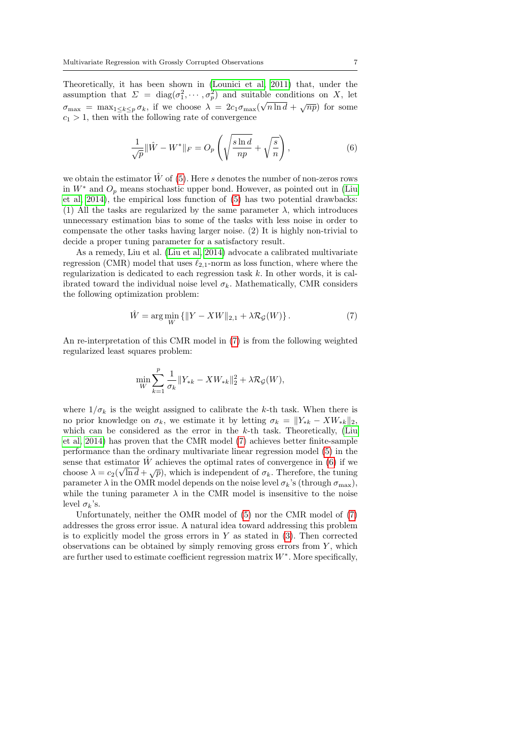Theoretically, it has been shown in [\(Lounici et al, 2011\)](#page-23-0) that, under the assumption that  $\Sigma = \text{diag}(\sigma_1^2, \cdots, \sigma_p^2)$  and suitable conditions on X, let  $\sigma_{\max} = \max_{1 \leq k \leq p} \sigma_k$ , if we choose  $\lambda = 2c_1 \sigma_{\max} (\sqrt{n \ln d} + \sqrt{np})$  for some  $c_1 > 1$ , then with the following rate of convergence

<span id="page-6-1"></span>
$$
\frac{1}{\sqrt{p}} \|\hat{W} - W^*\|_F = O_p\left(\sqrt{\frac{\sin d}{np}} + \sqrt{\frac{s}{n}}\right),\tag{6}
$$

we obtain the estimator  $\hat{W}$  of [\(5\)](#page-5-1). Here s denotes the number of non-zeros rows in  $W^*$  and  $O_n$  means stochastic upper bond. However, as pointed out in [\(Liu](#page-23-3) [et al, 2014\)](#page-23-3), the empirical loss function of [\(5\)](#page-5-1) has two potential drawbacks: (1) All the tasks are regularized by the same parameter  $\lambda$ , which introduces unnecessary estimation bias to some of the tasks with less noise in order to compensate the other tasks having larger noise. (2) It is highly non-trivial to decide a proper tuning parameter for a satisfactory result.

As a remedy, Liu et al. [\(Liu et al, 2014\)](#page-23-3) advocate a calibrated multivariate regression (CMR) model that uses  $\ell_{2,1}$ -norm as loss function, where where the regularization is dedicated to each regression task k. In other words, it is calibrated toward the individual noise level  $\sigma_k$ . Mathematically, CMR considers the following optimization problem:

<span id="page-6-0"></span>
$$
\hat{W} = \arg\min_{W} \{ ||Y - XW||_{2,1} + \lambda \mathcal{R}_{\mathcal{G}}(W) \}.
$$
\n(7)

An re-interpretation of this CMR model in [\(7\)](#page-6-0) is from the following weighted regularized least squares problem:

$$
\min_W \sum_{k=1}^p \frac{1}{\sigma_k} \|Y_{*k} - XW_{*k}\|_2^2 + \lambda \mathcal{R}_{\mathcal{G}}(W),
$$

where  $1/\sigma_k$  is the weight assigned to calibrate the k-th task. When there is no prior knowledge on  $\sigma_k$ , we estimate it by letting  $\sigma_k = ||Y_{*k} - XW_{*k}||_2$ , which can be considered as the error in the  $k$ -th task. Theoretically, [\(Liu](#page-23-3) [et al, 2014\)](#page-23-3) has proven that the CMR model [\(7\)](#page-6-0) achieves better finite-sample performance than the ordinary multivariate linear regression model [\(5\)](#page-5-1) in the sense that estimator  $\hat{W}$  achieves the optimal rates of convergence in [\(6\)](#page-6-1) if we choose  $\lambda = c_2(\sqrt{\ln d} + \sqrt{p})$ , which is independent of  $\sigma_k$ . Therefore, the tuning parameter  $\lambda$  in the OMR model depends on the noise level  $\sigma_k$ 's (through  $\sigma_{\text{max}}$ ), while the tuning parameter  $\lambda$  in the CMR model is insensitive to the noise level  $\sigma_k$ 's.

Unfortunately, neither the OMR model of [\(5\)](#page-5-1) nor the CMR model of [\(7\)](#page-6-0) addresses the gross error issue. A natural idea toward addressing this problem is to explicitly model the gross errors in  $Y$  as stated in  $(3)$ . Then corrected observations can be obtained by simply removing gross errors from  $Y$ , which are further used to estimate coefficient regression matrix  $W^*$ . More specifically,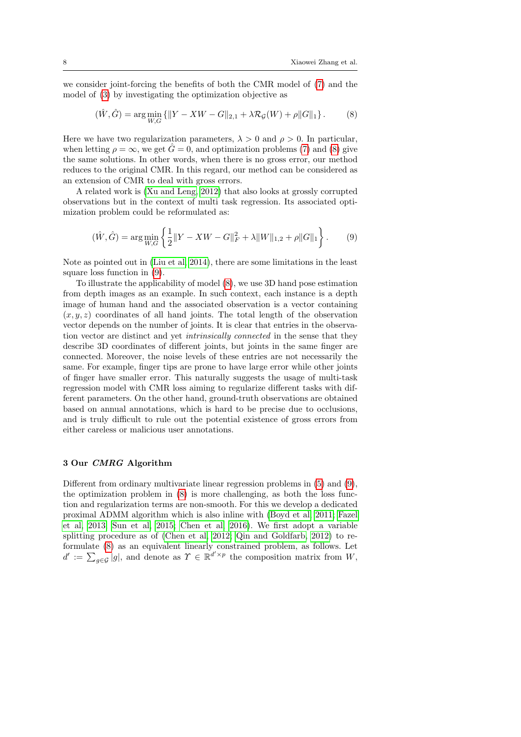we consider joint-forcing the benefits of both the CMR model of [\(7\)](#page-6-0) and the model of [\(3\)](#page-1-0) by investigating the optimization objective as

<span id="page-7-1"></span>
$$
(\hat{W}, \hat{G}) = \arg\min_{W, G} \{ ||Y - XW - G||_{2,1} + \lambda \mathcal{R}_{\mathcal{G}}(W) + \rho ||G||_1 \}.
$$
 (8)

Here we have two regularization parameters,  $\lambda > 0$  and  $\rho > 0$ . In particular, when letting  $\rho = \infty$ , we get  $G = 0$ , and optimization problems [\(7\)](#page-6-0) and [\(8\)](#page-7-1) give the same solutions. In other words, when there is no gross error, our method reduces to the original CMR. In this regard, our method can be considered as an extension of CMR to deal with gross errors.

A related work is [\(Xu and Leng, 2012\)](#page-24-5) that also looks at grossly corrupted observations but in the context of multi task regression. Its associated optimization problem could be reformulated as:

<span id="page-7-2"></span>
$$
(\hat{W}, \hat{G}) = \arg\min_{W, G} \left\{ \frac{1}{2} \|Y - XW - G\|_F^2 + \lambda \|W\|_{1,2} + \rho \|G\|_1 \right\}.
$$
 (9)

Note as pointed out in [\(Liu et al, 2014\)](#page-23-3), there are some limitations in the least square loss function in [\(9\)](#page-7-2).

To illustrate the applicability of model [\(8\)](#page-7-1), we use 3D hand pose estimation from depth images as an example. In such context, each instance is a depth image of human hand and the associated observation is a vector containing  $(x, y, z)$  coordinates of all hand joints. The total length of the observation vector depends on the number of joints. It is clear that entries in the observation vector are distinct and yet intrinsically connected in the sense that they describe 3D coordinates of different joints, but joints in the same finger are connected. Moreover, the noise levels of these entries are not necessarily the same. For example, finger tips are prone to have large error while other joints of finger have smaller error. This naturally suggests the usage of multi-task regression model with CMR loss aiming to regularize different tasks with different parameters. On the other hand, ground-truth observations are obtained based on annual annotations, which is hard to be precise due to occlusions, and is truly difficult to rule out the potential existence of gross errors from either careless or malicious user annotations.

## <span id="page-7-0"></span>3 Our CMRG Algorithm

Different from ordinary multivariate linear regression problems in [\(5\)](#page-5-1) and [\(9\)](#page-7-2), the optimization problem in [\(8\)](#page-7-1) is more challenging, as both the loss function and regularization terms are non-smooth. For this we develop a dedicated proximal ADMM algorithm which is also inline with [\(Boyd et al, 2011;](#page-22-7) [Fazel](#page-22-8) [et al, 2013;](#page-22-8) [Sun et al, 2015;](#page-24-11) [Chen et al, 2016\)](#page-22-9). We first adopt a variable splitting procedure as of [\(Chen et al, 2012;](#page-22-10) [Qin and Goldfarb, 2012\)](#page-23-16) to reformulate [\(8\)](#page-7-1) as an equivalent linearly constrained problem, as follows. Let  $d' := \sum_{g \in \mathcal{G}} |g|$ , and denote as  $\Upsilon \in \mathbb{R}^{d' \times p}$  the composition matrix from W,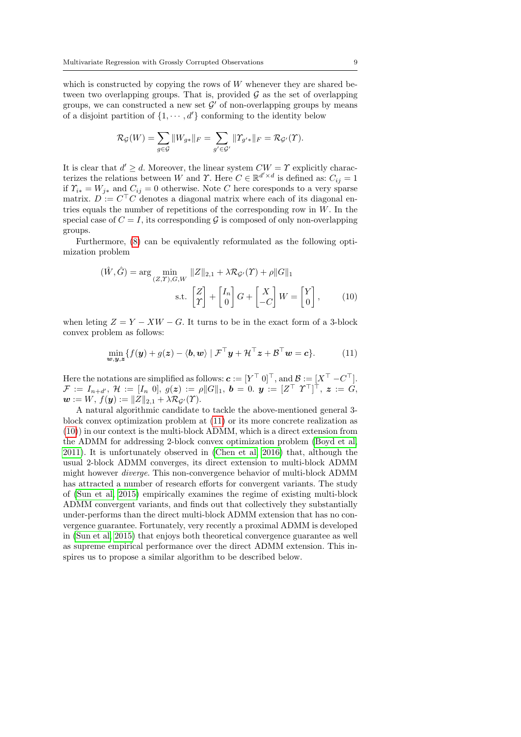which is constructed by copying the rows of  $W$  whenever they are shared between two overlapping groups. That is, provided  $\mathcal G$  as the set of overlapping groups, we can constructed a new set  $\mathcal{G}'$  of non-overlapping groups by means of a disjoint partition of  $\{1, \dots, d'\}$  conforming to the identity below

$$
\mathcal{R}_{\mathcal{G}}(W) = \sum_{g \in \mathcal{G}} \|W_{g*}\|_F = \sum_{g' \in \mathcal{G}'} \| \Upsilon_{g'*}\|_F = \mathcal{R}_{\mathcal{G}'}(\Upsilon).
$$

It is clear that  $d' \geq d$ . Moreover, the linear system  $CW = \Upsilon$  explicitly characterizes the relations between W and  $\Upsilon$ . Here  $C \in \mathbb{R}^{d' \times d}$  is defined as:  $C_{ij} = 1$ if  $\Upsilon_{i*} = W_{j*}$  and  $C_{ij} = 0$  otherwise. Note C here coresponds to a very sparse matrix.  $D := C<sup>T</sup>C$  denotes a diagonal matrix where each of its diagonal entries equals the number of repetitions of the corresponding row in  $W$ . In the special case of  $C = I$ , its corresponding  $G$  is composed of only non-overlapping groups.

Furthermore, [\(8\)](#page-7-1) can be equivalently reformulated as the following optimization problem

<span id="page-8-1"></span>
$$
(\hat{W}, \hat{G}) = \arg\min_{(Z,\Upsilon),G,W} \|Z\|_{2,1} + \lambda \mathcal{R}_{\mathcal{G}'}(\Upsilon) + \rho \|G\|_1
$$
  
s.t. 
$$
\begin{bmatrix} Z \\ \Upsilon \end{bmatrix} + \begin{bmatrix} I_n \\ 0 \end{bmatrix} G + \begin{bmatrix} X \\ -C \end{bmatrix} W = \begin{bmatrix} Y \\ 0 \end{bmatrix},
$$
 (10)

when leting  $Z = Y - XW - G$ . It turns to be in the exact form of a 3-block convex problem as follows:

<span id="page-8-0"></span>
$$
\min_{\mathbf{w},\mathbf{y},\mathbf{z}} \{ f(\mathbf{y}) + g(\mathbf{z}) - \langle \mathbf{b}, \mathbf{w} \rangle \mid \mathcal{F}^\top \mathbf{y} + \mathcal{H}^\top \mathbf{z} + \mathcal{B}^\top \mathbf{w} = \mathbf{c} \}. \tag{11}
$$

Here the notations are simplified as follows:  $\boldsymbol{c} := [Y^\top \ 0]^\top$ , and  $\mathcal{B} := [X^\top - C^\top]$ .  $\mathcal{F} \,:=\, I_{n+d'},\; \mathcal{H} \,:=\, [I_{n} \,\,\, 0],\; g(\boldsymbol{z}) \,:=\, \rho \|G\|_{1},\; \boldsymbol{b} \,=\, 0.\; \,\boldsymbol{y} \,:=\, [Z^{\top} \,\,\, T^{\top}]^{\top},\; \boldsymbol{z} \,:=\, G,$  $w := W, f(y) := ||Z||_{2,1} + \lambda \mathcal{R}_{G'}(\Upsilon).$ 

A natural algorithmic candidate to tackle the above-mentioned general 3 block convex optimization problem at [\(11\)](#page-8-0) or its more concrete realization as [\(10\)](#page-8-1)) in our context is the multi-block ADMM, which is a direct extension from the ADMM for addressing 2-block convex optimization problem [\(Boyd et al,](#page-22-7) [2011\)](#page-22-7). It is unfortunately observed in [\(Chen et al, 2016\)](#page-22-9) that, although the usual 2-block ADMM converges, its direct extension to multi-block ADMM might however diverge. This non-convergence behavior of multi-block ADMM has attracted a number of research efforts for convergent variants. The study of [\(Sun et al, 2015\)](#page-24-11) empirically examines the regime of existing multi-block ADMM convergent variants, and finds out that collectively they substantially under-performs than the direct multi-block ADMM extension that has no convergence guarantee. Fortunately, very recently a proximal ADMM is developed in [\(Sun et al, 2015\)](#page-24-11) that enjoys both theoretical convergence guarantee as well as supreme empirical performance over the direct ADMM extension. This inspires us to propose a similar algorithm to be described below.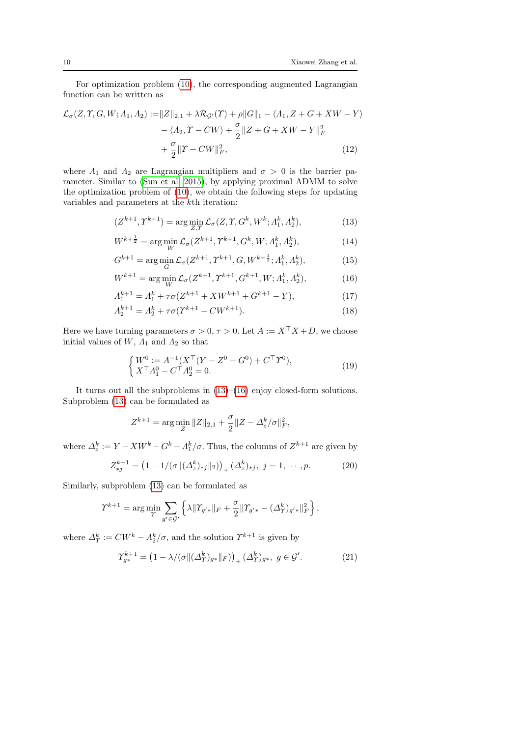For optimization problem [\(10\)](#page-8-1), the corresponding augmented Lagrangian function can be written as

$$
\mathcal{L}_{\sigma}(Z, \Upsilon, G, W; \Lambda_1, \Lambda_2) := ||Z||_{2,1} + \lambda \mathcal{R}_{\mathcal{G}'}(\Upsilon) + \rho ||G||_1 - \langle \Lambda_1, Z + G + XW - Y \rangle \n- \langle \Lambda_2, \Upsilon - CW \rangle + \frac{\sigma}{2} ||Z + G + XW - Y||_F^2 \n+ \frac{\sigma}{2} ||\Upsilon - CW||_F^2, \tag{12}
$$

where  $\Lambda_1$  and  $\Lambda_2$  are Lagrangian multipliers and  $\sigma > 0$  is the barrier parameter. Similar to [\(Sun et al, 2015\)](#page-24-11), by applying proximal ADMM to solve the optimization problem of [\(10\)](#page-8-1), we obtain the following steps for updating variables and parameters at the kth iteration:

<span id="page-9-0"></span>
$$
(Z^{k+1}, \Upsilon^{k+1}) = \arg\min_{Z, \Upsilon} \mathcal{L}_{\sigma}(Z, \Upsilon, G^k, W^k; \Lambda_1^k, \Lambda_2^k), \tag{13}
$$

<span id="page-9-5"></span>
$$
W^{k+\frac{1}{2}} = \arg\min_{W} \mathcal{L}_{\sigma}(Z^{k+1}, T^{k+1}, G^k, W; \Lambda_1^k, \Lambda_2^k), \tag{14}
$$

<span id="page-9-8"></span>
$$
G^{k+1} = \arg\min_{G} \mathcal{L}_{\sigma}(Z^{k+1}, \Upsilon^{k+1}, G, W^{k+\frac{1}{2}}; \Lambda_1^k, \Lambda_2^k),\tag{15}
$$

<span id="page-9-1"></span>
$$
W^{k+1} = \arg\min_{W} \mathcal{L}_{\sigma}(Z^{k+1}, \Upsilon^{k+1}, G^{k+1}, W; \Lambda_1^k, \Lambda_2^k), \tag{16}
$$

$$
\Lambda_1^{k+1} = \Lambda_1^k + \tau \sigma (Z^{k+1} + XW^{k+1} + G^{k+1} - Y), \tag{17}
$$

$$
\Lambda_2^{k+1} = \Lambda_2^k + \tau \sigma (\Upsilon^{k+1} - CW^{k+1}). \tag{18}
$$

Here we have turning parameters  $\sigma > 0$ ,  $\tau > 0$ . Let  $A := X^{\top} X + D$ , we choose initial values of  $W$ ,  $\Lambda_1$  and  $\Lambda_2$  so that

<span id="page-9-7"></span><span id="page-9-6"></span><span id="page-9-4"></span>
$$
\begin{cases} W^0 := A^{-1} (X^\top (Y - Z^0 - G^0) + C^\top \Upsilon^0), \\ X^\top A_1^0 - C^\top A_2^0 = 0. \end{cases}
$$
 (19)

It turns out all the subproblems in [\(13\)](#page-9-0)–[\(16\)](#page-9-1) enjoy closed-form solutions. Subproblem [\(13\)](#page-9-0) can be formulated as

$$
Z^{k+1} = \arg\min_{Z} \|Z\|_{2,1} + \frac{\sigma}{2} \|Z - \Delta_z^k / \sigma\|_F^2,
$$

where  $\Delta_z^k := Y - XW^k - G^k + \Lambda_1^k/\sigma$ . Thus, the columns of  $Z^{k+1}$  are given by

<span id="page-9-2"></span>
$$
Z_{*j}^{k+1} = (1 - 1/(\sigma ||(\Delta_z^k)_{*j}||_2))_+ (\Delta_z^k)_{*j}, \ j = 1, \cdots, p. \tag{20}
$$

Similarly, subproblem [\(13\)](#page-9-0) can be formulated as

$$
\varUpsilon^{k+1} = \arg \min_{\varUpsilon} \sum_{g' \in \mathcal{G}'} \left\{ \lambda \| \varUpsilon_{g'*} \|_F + \frac{\sigma}{2} \|\varUpsilon_{g'*} - (\varDelta^k_{\varUpsilon})_{g'*} \|_F^2 \right\},\,
$$

where  $\Delta_T^k := CW^k - \Lambda_2^k / \sigma$ , and the solution  $\Upsilon^{k+1}$  is given by

<span id="page-9-3"></span>
$$
\Upsilon_{g*}^{k+1} = \left(1 - \lambda/(\sigma \| (\Delta^k_{\Upsilon})_{g*} \|_{F})\right)_+ (\Delta^k_{\Upsilon})_{g*}, \ g \in \mathcal{G}'.
$$
 (21)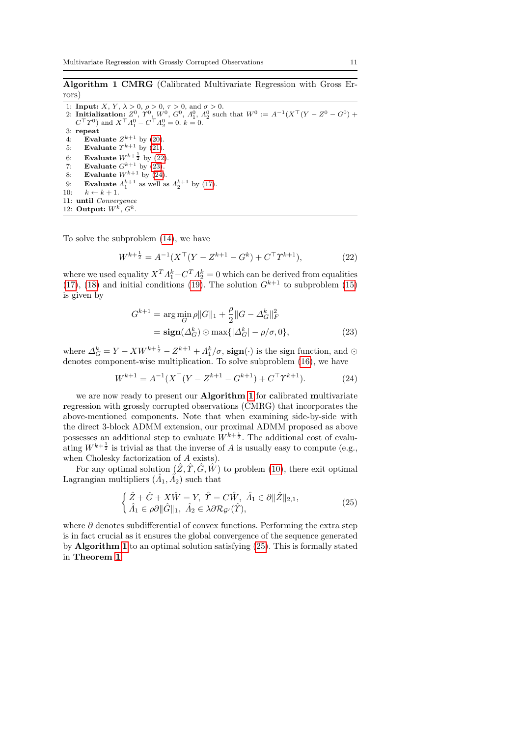<span id="page-10-3"></span>Algorithm 1 CMRG (Calibrated Multivariate Regression with Gross Errors)

1: **Input:**  $X, Y, \lambda > 0, \rho > 0, \tau > 0$ , and  $\sigma > 0$ . 2: Initialization:  $Z^0$ ,  $T^0$ ,  $W^0$ ,  $G^0$ ,  $A_1^0$ ,  $A_2^0$  such that  $W^0 := A^{-1}(X^{\top}(Y - Z^0 - G^0) +$  $C^{\top} \Upsilon^{0}$  and  $X^{\top} A_1^0 - C^{\top} A_2^0 = 0.$   $k = 0$ . 3: repeat 4: Evaluate  $Z^{k+1}$  by [\(20\)](#page-9-2). 5: Evaluate  $\Upsilon^{k+1}$  by [\(21\)](#page-9-3). 6: Evaluate  $W^{k+\frac{1}{2}}$  by [\(22\)](#page-10-0). 7: Evaluate  $G^{k+1}$  by  $(23)$ . 8: Evaluate  $W^{k+1}$  by  $(24)$ . 9: **Evaluate**  $\Lambda_1^{k+1}$  as well as  $\Lambda_2^{k+1}$  by [\(17\)](#page-9-4). 10:  $k \leftarrow k + 1$ . 11: until Convergence 12: Output:  $W^k$ ,  $G^k$ 

To solve the subproblem [\(14\)](#page-9-5), we have

<span id="page-10-0"></span>
$$
W^{k+\frac{1}{2}} = A^{-1}(X^\top (Y - Z^{k+1} - G^k) + C^\top T^{k+1}),\tag{22}
$$

where we used equality  $X^T A_1^k - C^T A_2^k = 0$  which can be derived from equalities [\(17\)](#page-9-4), [\(18\)](#page-9-6) and initial conditions [\(19\)](#page-9-7). The solution  $G^{k+1}$  to subproblem [\(15\)](#page-9-8) is given by

<span id="page-10-1"></span>
$$
G^{k+1} = \underset{G}{\arg\min} \rho \|G\|_1 + \frac{\rho}{2} \|G - \Delta_G^k\|_F^2
$$

$$
= \underset{G}{\text{sign}}(\Delta_G^k) \odot \max\{|\Delta_G^k| - \rho/\sigma, 0\},\tag{23}
$$

where  $\Delta_G^k = Y - XW^{k + \frac{1}{2}} - Z^{k+1} + \Lambda_1^k/\sigma$ , sign(·) is the sign function, and  $\odot$ denotes component-wise multiplication. To solve subproblem [\(16\)](#page-9-1), we have

<span id="page-10-2"></span>
$$
W^{k+1} = A^{-1}(X^{\top}(Y - Z^{k+1} - G^{k+1}) + C^{\top}T^{k+1}).
$$
\n(24)

we are now ready to present our **Algorithm [1](#page-10-3)** for calibrated multivariate regression with grossly corrupted observations (CMRG) that incorporates the above-mentioned components. Note that when examining side-by-side with the direct 3-block ADMM extension, our proximal ADMM proposed as above possesses an additional step to evaluate  $W^{k+\frac{1}{2}}$ . The additional cost of evaluating  $W^{k+\frac{1}{2}}$  is trivial as that the inverse of A is usually easy to compute (e.g., when Cholesky factorization of A exists).

For any optimal solution  $(\tilde{Z}, \tilde{T}, \tilde{G}, \tilde{W})$  to problem [\(10\)](#page-8-1), there exit optimal Lagrangian multipliers  $(\hat{A}_1, \hat{A}_2)$  such that

<span id="page-10-4"></span>
$$
\begin{cases} \n\hat{Z} + \hat{G} + X\hat{W} = Y, \ \hat{T} = C\hat{W}, \ \hat{A}_1 \in \partial \|\hat{Z}\|_{2,1}, \\ \n\hat{A}_1 \in \rho \partial \|\hat{G}\|_1, \ \hat{A}_2 \in \lambda \partial \mathcal{R}_{\mathcal{G}'}(\hat{T}), \n\end{cases} \n\tag{25}
$$

<span id="page-10-5"></span>where  $\partial$  denotes subdifferential of convex functions. Performing the extra step is in fact crucial as it ensures the global convergence of the sequence generated by Algorithm [1](#page-10-3) to an optimal solution satisfying [\(25\)](#page-10-4). This is formally stated in Theorem [1](#page-10-5).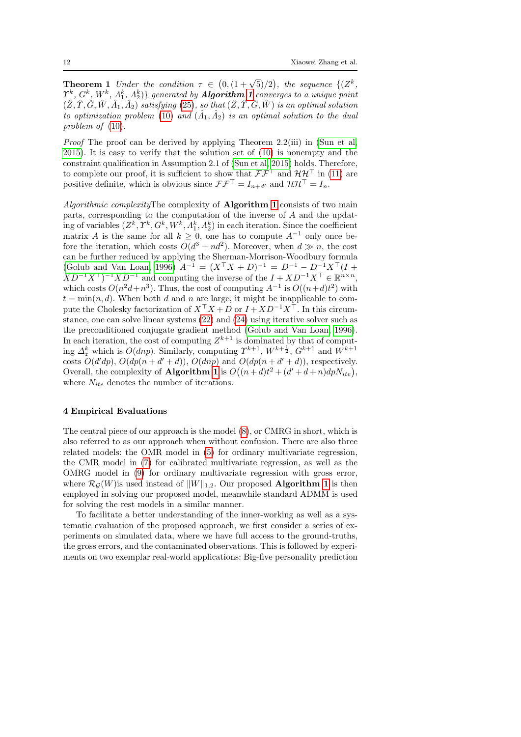**Theorem 1** Under the condition  $\tau \in (0, (1 + \sqrt{5})/2)$ , the sequence  $\{(Z^k, \theta) \in Z^k\}$  $\varUpsilon^k,$   $G^k,$   $W^k,$   $\varLambda^k_1,$   $\varLambda^k_2) \}$  generated by  ${\it Algorithm}$  [1](#page-10-3) converges to a unique point  $(\hat{Z}, \hat{\Upsilon}, \hat{G}, \hat{W}, \hat{\Lambda}_1, \hat{\Lambda}_2)$  satisfying [\(25\)](#page-10-4), so that  $(\hat{Z}, \hat{\Upsilon}, \hat{G}, \hat{W})$  is an optimal solution to optimization problem [\(10\)](#page-8-1) and  $(\hat{A}_1, \hat{A}_2)$  is an optimal solution to the dual problem of  $(10)$ .

*Proof* The proof can be derived by applying Theorem 2.2(iii) in (Sun et al. [2015\)](#page-24-11). It is easy to verify that the solution set of [\(10\)](#page-8-1) is nonempty and the constraint qualification in Assumption 2.1 of [\(Sun et al, 2015\)](#page-24-11) holds. Therefore, to complete our proof, it is sufficient to show that  $\mathcal{F}\mathcal{F}^{\top}$  and  $\mathcal{H}\mathcal{H}^{\top}$  in [\(11\)](#page-8-0) are positive definite, which is obvious since  $\mathcal{F}\mathcal{F}^{\top} = I_{n+d'}$  and  $\mathcal{H}\mathcal{H}^{\top} = I_n$ .

Algorithmic complexityThe complexity of Algorithm [1](#page-10-3) consists of two main parts, corresponding to the computation of the inverse of A and the updating of variables  $(Z^k, \Upsilon^k, G^k, W^k, \Lambda_1^k, \Lambda_2^k)$  in each iteration. Since the coefficient matrix A is the same for all  $k \geq 0$ , one has to compute  $A^{-1}$  only once before the iteration, which costs  $O(d^3 + nd^2)$ . Moreover, when  $d \gg n$ , the cost can be further reduced by applying the Sherman-Morrison-Woodbury formula [\(Golub and Van Loan, 1996\)](#page-23-17)  $A^{-1} = (X^{\top}X + D)^{-1} = D^{-1} - D^{-1}X^{\top}(I + D))$  $XD^{-1}X^{\top}$ )<sup>-1</sup>XD<sup>-1</sup> and computing the inverse of the  $I + XD^{-1}X^{\top} \in \mathbb{R}^{n \times n}$ , which costs  $O(n^2d + n^3)$ . Thus, the cost of computing  $A^{-1}$  is  $O((n+d)t^2)$  with  $t = \min(n, d)$ . When both d and n are large, it might be inapplicable to compute the Cholesky factorization of  $X^{\top} X + D$  or  $I + X D^{-1} X^{\top}$ . In this circumstance, one can solve linear systems [\(22\)](#page-10-0) and [\(24\)](#page-10-2) using iterative solver such as the preconditioned conjugate gradient method [\(Golub and Van Loan, 1996\)](#page-23-17). In each iteration, the cost of computing  $Z^{k+1}$  is dominated by that of computing  $\Delta_z^k$  which is  $O(dnp)$ . Similarly, computing  $\Upsilon^{k+1}$ ,  $W^{k+\frac{1}{2}}$ ,  $G^{k+1}$  and  $W^{k+1}$ costs  $O(d'dp)$ ,  $O(dp(n+d'+d))$ ,  $O(dnp)$  and  $O(dp(n+d'+d))$ , respectively. Overall, the complexity of **Algorithm [1](#page-10-3)** is  $O((n+d)t^2 + (d'+d+n)dpN_{ite}),$ where  $N_{ite}$  denotes the number of iterations.

## <span id="page-11-0"></span>4 Empirical Evaluations

The central piece of our approach is the model [\(8\)](#page-7-1), or CMRG in short, which is also referred to as our approach when without confusion. There are also three related models: the OMR model in [\(5\)](#page-5-1) for ordinary multivariate regression, the CMR model in [\(7\)](#page-6-0) for calibrated multivariate regression, as well as the OMRG model in [\(9\)](#page-7-2) for ordinary multivariate regression with gross error, where  $\mathcal{R}_G(W)$  is used instead of  $||W||_{1,2}$ . Our proposed **Algorithm [1](#page-10-3)** is then employed in solving our proposed model, meanwhile standard ADMM is used for solving the rest models in a similar manner.

To facilitate a better understanding of the inner-working as well as a systematic evaluation of the proposed approach, we first consider a series of experiments on simulated data, where we have full access to the ground-truths, the gross errors, and the contaminated observations. This is followed by experiments on two exemplar real-world applications: Big-five personality prediction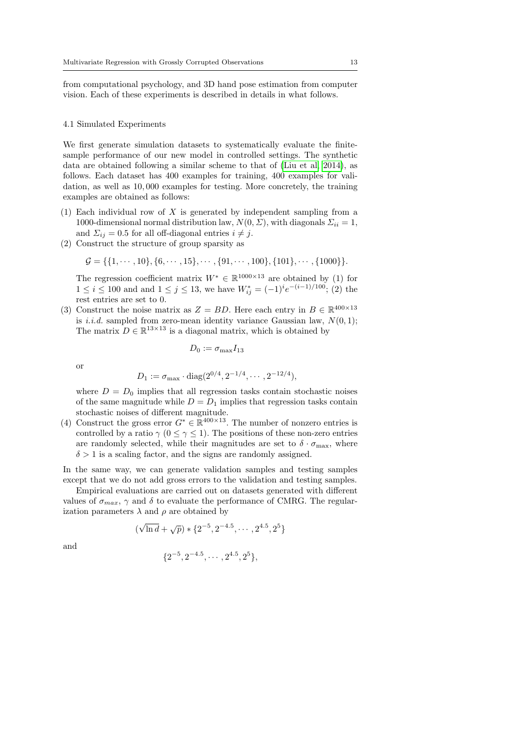from computational psychology, and 3D hand pose estimation from computer vision. Each of these experiments is described in details in what follows.

#### <span id="page-12-0"></span>4.1 Simulated Experiments

We first generate simulation datasets to systematically evaluate the finitesample performance of our new model in controlled settings. The synthetic data are obtained following a similar scheme to that of [\(Liu et al, 2014\)](#page-23-3), as follows. Each dataset has 400 examples for training, 400 examples for validation, as well as 10, 000 examples for testing. More concretely, the training examples are obtained as follows:

- (1) Each individual row of X is generated by independent sampling from a 1000-dimensional normal distribution law,  $N(0, \Sigma)$ , with diagonals  $\Sigma_{ii} = 1$ , and  $\Sigma_{ij} = 0.5$  for all off-diagonal entries  $i \neq j$ .
- (2) Construct the structure of group sparsity as

$$
\mathcal{G} = \{ \{1, \cdots, 10\}, \{6, \cdots, 15\}, \cdots, \{91, \cdots, 100\}, \{101\}, \cdots, \{1000\} \}.
$$

The regression coefficient matrix  $W^* \in \mathbb{R}^{1000 \times 13}$  are obtained by (1) for  $1 \leq i \leq 100$  and and  $1 \leq j \leq 13$ , we have  $W^*_{ij} = (-1)^i e^{-(i-1)/100}$ ; (2) the rest entries are set to 0.

(3) Construct the noise matrix as  $Z = BD$ . Here each entry in  $B \in \mathbb{R}^{400 \times 13}$ is *i.i.d.* sampled from zero-mean identity variance Gaussian law,  $N(0, 1)$ ; The matrix  $D \in \mathbb{R}^{13 \times 13}$  is a diagonal matrix, which is obtained by

$$
D_0 := \sigma_{\max} I_{13}
$$

or

$$
D_1 := \sigma_{\max} \cdot \text{diag}(2^{0/4}, 2^{-1/4}, \cdots, 2^{-12/4}),
$$

where  $D = D_0$  implies that all regression tasks contain stochastic noises of the same magnitude while  $D = D_1$  implies that regression tasks contain stochastic noises of different magnitude.

(4) Construct the gross error  $G^* \in \mathbb{R}^{400 \times 13}$ . The number of nonzero entries is controlled by a ratio  $\gamma$  ( $0 \leq \gamma \leq 1$ ). The positions of these non-zero entries are randomly selected, while their magnitudes are set to  $\delta \cdot \sigma_{\text{max}}$ , where  $\delta > 1$  is a scaling factor, and the signs are randomly assigned.

In the same way, we can generate validation samples and testing samples except that we do not add gross errors to the validation and testing samples.

Empirical evaluations are carried out on datasets generated with different values of  $\sigma_{max}$ ,  $\gamma$  and  $\delta$  to evaluate the performance of CMRG. The regularization parameters  $\lambda$  and  $\rho$  are obtained by

$$
(\sqrt{\ln d} + \sqrt{p}) * \{2^{-5}, 2^{-4.5}, \cdots, 2^{4.5}, 2^5\}
$$

and

$$
\{2^{-5}, 2^{-4.5}, \cdots, 2^{4.5}, 2^5\},
$$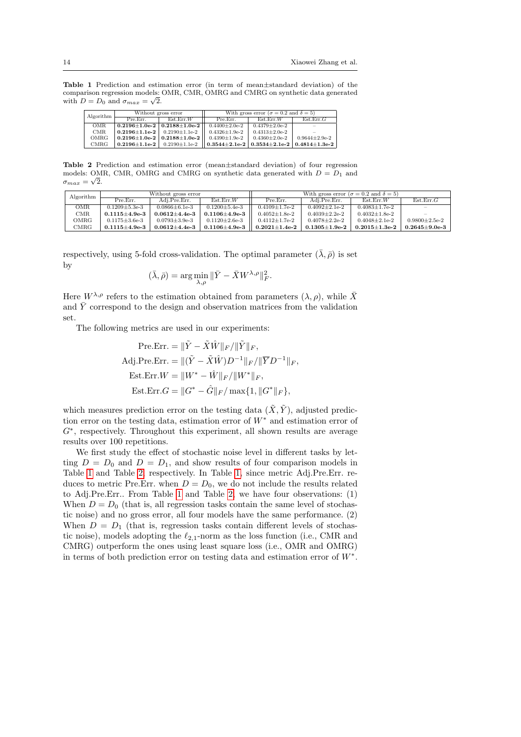Table 1 Prediction and estimation error (in term of mean±standard deviation) of the comparison regression models: OMR, CMR, OMRG and CMRG on synthetic data generated √ with  $D = D_0$  and  $\sigma_{max} = \sqrt{2}$ .

<span id="page-13-0"></span>

| Algorithm |                                                  | Without gross error | With gross error ( $\sigma = 0.2$ and $\delta = 5$ ) |                                                                    |                       |  |  |
|-----------|--------------------------------------------------|---------------------|------------------------------------------------------|--------------------------------------------------------------------|-----------------------|--|--|
|           | Est. Err.W<br>Pre.Err.                           |                     | Pre.Err.                                             | Ext. Err.W                                                         | Est.Err.G             |  |  |
| OMR       | $0.2196 \pm 1.0$ e-2 $\vert 0.2188 \pm 1.0$ e-2  |                     | $0.4400 \pm 2.0e-2$                                  | $0.4379 \pm 2.0e-2$                                                |                       |  |  |
| CMR.      | $0.2196 \pm 1.1$ e-2 $0.2190 \pm 1.1$ e-2        |                     | $0.4326 \pm 1.9e-2$                                  | $0.4313 + 2.0e-2$                                                  |                       |  |  |
| OMRG      | $0.2196 \pm 1.0$ e-2   $0.2188 \pm 1.0$ e-2      |                     | $0.4390 \pm 1.9e-2$                                  | $0.4360 \pm 2.0e-2$                                                | $0.9644 \pm 2.9e - 2$ |  |  |
| CMRG      | $0.2196 \pm 1.1$ e-2 $\vert$ 0.2190 $\pm$ 1.1e-2 |                     |                                                      | $0.3544 \pm 2.1$ e-2   $0.3534 \pm 2.1$ e-2   $0.4814 \pm 1.3$ e-2 |                       |  |  |

<span id="page-13-1"></span>Table 2 Prediction and estimation error (mean±standard deviation) of four regression models: OMR, CMR, OMRG and CMRG on synthetic data generated with  $D = D_1$  and  $\sigma_{max} = \sqrt{2}.$ 

| Algorithm     | Without gross error |                      |                      | With gross error ( $\sigma = 0.2$ and $\delta = 5$ ) |                   |                   |                   |  |
|---------------|---------------------|----------------------|----------------------|------------------------------------------------------|-------------------|-------------------|-------------------|--|
|               | Pre.Err.            | Adi.Pre.Err.         | Est Err W            | Pre.Err.                                             | Adi.Pre.Err.      | Est. Err.W        | Est.Err.G         |  |
| OMR           | $0.1209 + 5.3e-3$   | $0.0866 + 6.1e-3$    | $0.1200 \pm 5.4$ e-3 | $0.4109 + 1.7e-2$                                    | $0.4092 + 2.1e-2$ | $0.4083 + 1.7e-2$ |                   |  |
| CMR           | $0.1115 \pm 4.9e-3$ | $0.0612 \pm 4.4$ e-3 | $0.1106 \pm 4.9e-3$  | $0.4052+1.8e-2$                                      | $0.4039 + 2.2e-2$ | $0.4032+1.8e-2$   |                   |  |
| OMRG          | $0.1175 \pm 3.6e-3$ | $0.0793 + 3.9e-3$    | $0.1120 \pm 2.6e-3$  | $0.4112 + 1.7e-2$                                    | $0.4078 + 2.2e-2$ | $0.4048 + 2.1e-2$ | $0.9800+2.5e-2$   |  |
| $_{\rm CMRG}$ | $0.1115 + 4.9e-3$   | $0.0612{\pm}4.4$ e-3 | $0.1106 \pm 4.9e-3$  | $0.2021 \pm 1.4$ e-2                                 | $0.1305 + 1.9e-2$ | $0.2015 + 1.3e-2$ | $0.2645 + 9.0e-3$ |  |

respectively, using 5-fold cross-validation. The optimal parameter  $(\bar{\lambda}, \bar{\rho})$  is set by

$$
(\bar{\lambda}, \bar{\rho}) = \arg\min_{\lambda, \rho} \|\bar{Y} - \bar{X}W^{\lambda, \rho}\|_F^2.
$$

Here  $W^{\lambda,\rho}$  refers to the estimation obtained from parameters  $(\lambda,\rho)$ , while  $\bar{X}$ and  $\overline{Y}$  correspond to the design and observation matrices from the validation set.

The following metrics are used in our experiments:

$$
\begin{aligned}\n\text{Pre.Err.} &= \|\tilde{Y} - \tilde{X}\hat{W}\|_{F}/\|\tilde{Y}\|_{F}, \\
\text{Adj.Pre.Err.} &= \|(\tilde{Y} - \tilde{X}\hat{W})D^{-1}\|_{F}/\|\overline{Y}D^{-1}\|_{F}, \\
\text{Est.Err.}W &= \|W^* - \hat{W}\|_{F}/\|W^*\|_{F}, \\
\text{Est.Err.}G &= \|G^* - \hat{G}\|_{F}/\max\{1, \|G^*\|_{F}\},\n\end{aligned}
$$

which measures prediction error on the testing data  $(\tilde{X}, \tilde{Y})$ , adjusted prediction error on the testing data, estimation error of W<sup>∗</sup> and estimation error of G<sup>∗</sup> , respectively. Throughout this experiment, all shown results are average results over 100 repetitions.

We first study the effect of stochastic noise level in different tasks by letting  $D = D_0$  and  $D = D_1$ , and show results of four comparison models in Table [1](#page-13-0) and Table [2,](#page-13-1) respectively. In Table [1,](#page-13-0) since metric Adj.Pre.Err. reduces to metric Pre.Err. when  $D = D_0$ , we do not include the results related to Adj.Pre.Err.. From Table [1](#page-13-0) and Table [2,](#page-13-1) we have four observations: (1) When  $D = D_0$  (that is, all regression tasks contain the same level of stochastic noise) and no gross error, all four models have the same performance. (2) When  $D = D_1$  (that is, regression tasks contain different levels of stochastic noise), models adopting the  $\ell_{2,1}$ -norm as the loss function (i.e., CMR and CMRG) outperform the ones using least square loss (i.e., OMR and OMRG) in terms of both prediction error on testing data and estimation error of W<sup>∗</sup> .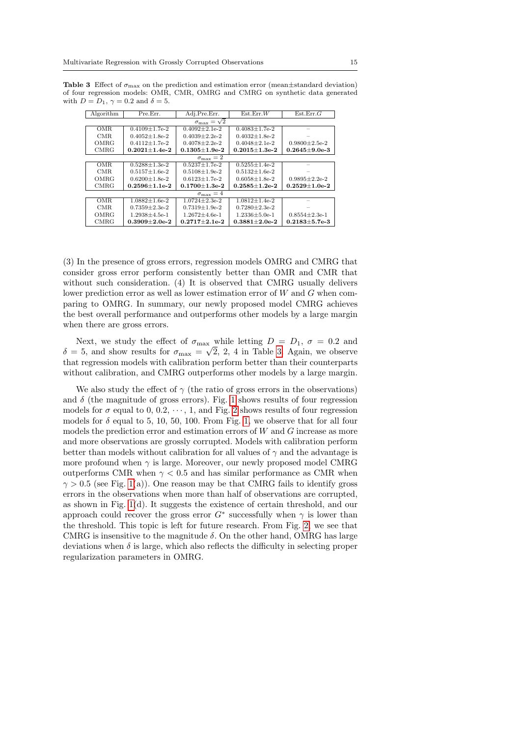<span id="page-14-0"></span>**Table 3** Effect of  $\sigma_{\text{max}}$  on the prediction and estimation error (mean $\pm$ standard deviation) of four regression models: OMR, CMR, OMRG and CMRG on synthetic data generated with  $D = D_1$ ,  $\gamma = 0.2$  and  $\delta = 5$ .

| Algorithm                  | Pre.Err.              | Adj.Pre.Err.          | Est.Err.W             | Est.Err.G           |  |  |  |  |
|----------------------------|-----------------------|-----------------------|-----------------------|---------------------|--|--|--|--|
| $\sigma_{\max} = \sqrt{2}$ |                       |                       |                       |                     |  |  |  |  |
| OMR                        | $0.4109 \pm 1.7$ e-2  | $0.4092 \pm 2.1e-2$   | $0.4083 \pm 1.7$ e-2  |                     |  |  |  |  |
| CMR.                       | $0.4052 + 1.8e-2$     | $0.4039 + 2.2e-2$     | $0.4032 + 1.8e-2$     |                     |  |  |  |  |
| OMRG                       | $0.4112 + 1.7e-2$     | $0.4078 + 2.2e-2$     | $0.4048 + 2.1e-2$     | $0.9800+2.5e-2$     |  |  |  |  |
| <b>CMRG</b>                | $0.2021 \pm 1.4e - 2$ | $0.1305 \pm 1.9e - 2$ | $0.2015 + 1.3e-2$     | $0.2645 \pm 9.0e-3$ |  |  |  |  |
|                            |                       | $\sigma_{\max} = 2$   |                       |                     |  |  |  |  |
| OMR                        | $0.5288 \pm 1.3e-2$   | $0.5237 \pm 1.7e-2$   | $0.5255 + 1.4e-2$     |                     |  |  |  |  |
| CMR.                       | $0.5157 + 1.6e-2$     | $0.5108 + 1.9e-2$     | $0.5132 + 1.6e-2$     |                     |  |  |  |  |
| OMRG                       | $0.6200 \pm 1.8$ e-2  | $0.6123 \pm 1.7e-2$   | $0.6058 \pm 1.8e-2$   | $0.9895 \pm 2.2e-2$ |  |  |  |  |
| <b>CMRG</b>                | $0.2596 + 1.1e-2$     | $0.1700 \pm 1.3e-2$   | $0.2585 + 1.2e-2$     | $0.2529 \pm 1.0e-2$ |  |  |  |  |
|                            |                       | $\sigma_{\max} = 4$   |                       |                     |  |  |  |  |
| <b>OMR</b>                 | $1.0882 \pm 1.6e-2$   | $1.0724 \pm 2.3e-2$   | $1.0812 \pm 1.4e-2$   |                     |  |  |  |  |
| CMR.                       | $0.7359 + 2.3e-2$     | $0.7319 + 1.9e-2$     | $0.7280 \pm 2.3e-2$   |                     |  |  |  |  |
| OMRG                       | $1.2938 \pm 4.5e-1$   | $1.2672 \pm 4.6e-1$   | $1.2336 \pm 5.0e-1$   | $0.8554 \pm 2.3e-1$ |  |  |  |  |
| CMRG                       | $0.3909 + 2.0e-2$     | $0.2717+2.1e-2$       | $0.3881 \pm 2.0e - 2$ | $0.2183 \pm 5.7e-3$ |  |  |  |  |

(3) In the presence of gross errors, regression models OMRG and CMRG that consider gross error perform consistently better than OMR and CMR that without such consideration. (4) It is observed that CMRG usually delivers lower prediction error as well as lower estimation error of W and G when comparing to OMRG. In summary, our newly proposed model CMRG achieves the best overall performance and outperforms other models by a large margin when there are gross errors.

Next, we study the effect of  $\sigma_{\text{max}}$  while letting  $D = D_1$ ,  $\sigma = 0.2$  and  $\delta = 5$ , and show results for  $\sigma_{\text{max}} = \sqrt{2}$ , 2, 4 in Table [3.](#page-14-0) Again, we observe that regression models with calibration perform better than their counterparts without calibration, and CMRG outperforms other models by a large margin.

We also study the effect of  $\gamma$  (the ratio of gross errors in the observations) and  $\delta$  (the magnitude of gross errors). Fig. [1](#page-15-0) shows results of four regression models for  $\sigma$  equal to 0, 0.2,  $\cdots$ , 1, and Fig. [2](#page-16-0) shows results of four regression models for  $\delta$  equal to 5, 10, 50, 100. From Fig. [1,](#page-15-0) we observe that for all four models the prediction error and estimation errors of W and G increase as more and more observations are grossly corrupted. Models with calibration perform better than models without calibration for all values of  $\gamma$  and the advantage is more profound when  $\gamma$  is large. Moreover, our newly proposed model CMRG outperforms CMR when  $\gamma$  < 0.5 and has similar performance as CMR when  $\gamma > 0.5$  (see Fig. [1\(](#page-15-0)a)). One reason may be that CMRG fails to identify gross errors in the observations when more than half of observations are corrupted, as shown in Fig. [1\(](#page-15-0)d). It suggests the existence of certain threshold, and our approach could recover the gross error  $G^*$  successfully when  $\gamma$  is lower than the threshold. This topic is left for future research. From Fig. [2,](#page-16-0) we see that CMRG is insensitive to the magnitude  $\delta$ . On the other hand, OMRG has large deviations when  $\delta$  is large, which also reflects the difficulty in selecting proper regularization parameters in OMRG.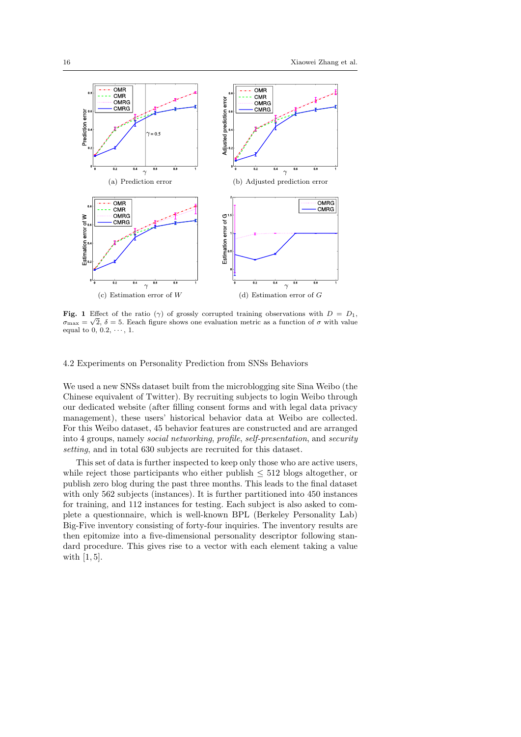

<span id="page-15-0"></span>Fig. 1 Effect of the ratio ( $\gamma$ ) of grossly corrupted training observations with  $D = D_1$ ,  $\sigma_{\text{max}} = \sqrt{2}$ ,  $\delta = 5$ . Eeach figure shows one evaluation metric as a function of  $\sigma$  with value equal to 0, 0.2,  $\cdots$ , 1.

# 4.2 Experiments on Personality Prediction from SNSs Behaviors

We used a new SNSs dataset built from the microblogging site Sina Weibo (the Chinese equivalent of Twitter). By recruiting subjects to login Weibo through our dedicated website (after filling consent forms and with legal data privacy management), these users' historical behavior data at Weibo are collected. For this Weibo dataset, 45 behavior features are constructed and are arranged into 4 groups, namely social networking, profile, self-presentation, and security setting, and in total 630 subjects are recruited for this dataset.

This set of data is further inspected to keep only those who are active users, while reject those participants who either publish  $\leq 512$  blogs altogether, or publish zero blog during the past three months. This leads to the final dataset with only 562 subjects (instances). It is further partitioned into 450 instances for training, and 112 instances for testing. Each subject is also asked to complete a questionnaire, which is well-known BPL (Berkeley Personality Lab) Big-Five inventory consisting of forty-four inquiries. The inventory results are then epitomize into a five-dimensional personality descriptor following standard procedure. This gives rise to a vector with each element taking a value with  $[1, 5]$ .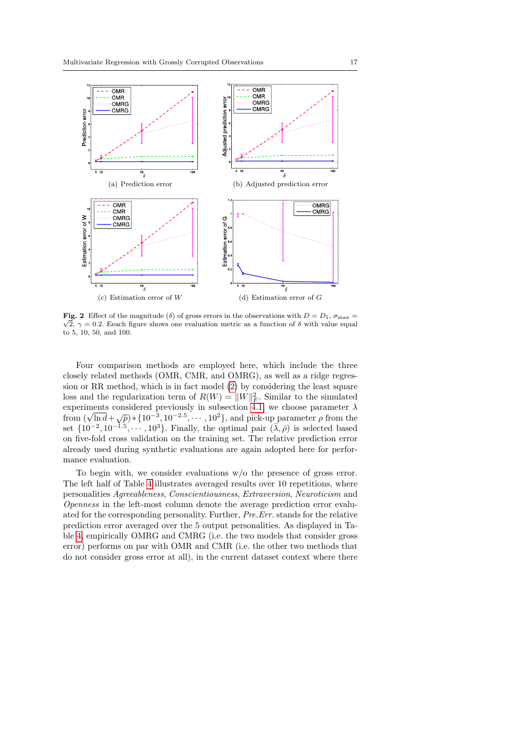

<span id="page-16-0"></span>**Fig. 2** Effect of the magnitude (δ) of gross errors in the observations with  $D = D_1$ ,  $\sigma_{\text{max}} =$  $\sqrt{2}$ ,  $\gamma = 0.2$ . Eeach figure shows one evaluation metric as a function of  $\delta$  with value equal to 5, 10, 50, and 100.

Four comparison methods are employed here, which include the three closely related methods (OMR, CMR, and OMRG), as well as a ridge regression or RR method, which is in fact model [\(2\)](#page-1-2) by considering the least square loss and the regularization term of  $R(W) = ||W||_F^2$ . Similar to the simulated experiments considered previously in subsection [4.1,](#page-12-0) we choose parameter  $\lambda$  from  $(\sqrt{\ln d} + \sqrt{p}) * \{10^{-3}, 10^{-2.5}, \dots, 10^{2}\}$ , and pick-up parameter  $\rho$  from the set  $\{10^{-2}, 10^{-1.5}, \dots, 10^{3}\}$ . Finally, the optimal pair  $(\bar{\lambda}, \bar{\rho})$  is selected based on five-fold cross validation on the training set. The relative prediction error already used during synthetic evaluations are again adopted here for performance evaluation.

To begin with, we consider evaluations w/o the presence of gross error. The left half of Table [4](#page-17-0) illustrates averaged results over 10 repetitions, where personalities Agreeableness, Conscientiousness, Extraversion, Neuroticism and Openness in the left-most column denote the average prediction error evaluated for the corresponding personality. Further, Pre.Err. stands for the relative prediction error averaged over the 5 output personalities. As displayed in Table [4,](#page-17-0) empirically OMRG and CMRG (i.e. the two models that consider gross error) performs on par with OMR and CMR (i.e. the other two methods that do not consider gross error at all), in the current dataset context where there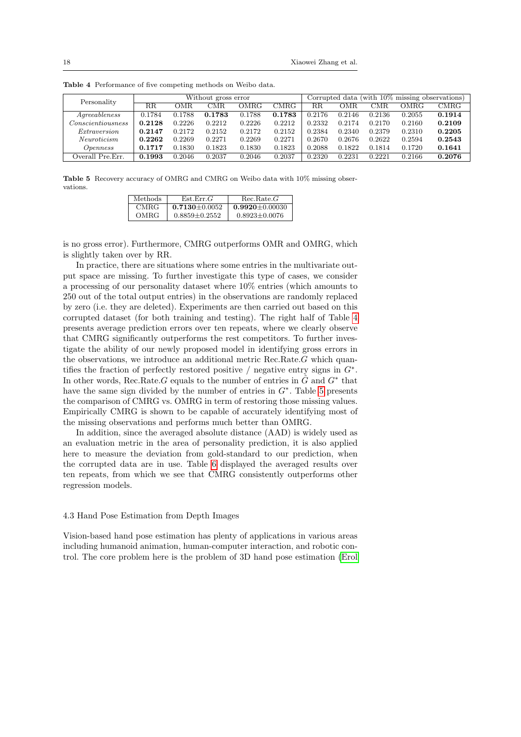| Personality                        | Without gross error |        |        |        |        |             | Corrupted data (with 10\% missing observations) |        |        |             |
|------------------------------------|---------------------|--------|--------|--------|--------|-------------|-------------------------------------------------|--------|--------|-------------|
|                                    | $_{\rm RR}$         | OMR.   | CMR    | OMRG   | CMRG   | $_{\rm RR}$ | OMR                                             | CMR    | OMRG   | <b>CMRG</b> |
| $A\alpha$ recableness              | 0.1784              | 0.1788 | 0.1783 | 0.1788 | 0.1783 | 0.2176      | 0.2146                                          | 0.2136 | 0.2055 | 0.1914      |
| $\emph{Consection}$ scientiousness | 0.2128              | 0.2226 | 0.2212 | 0.2226 | 0.2212 | 0.2332      | 0.2174                                          | 0.2170 | 0.2160 | 0.2109      |
| <i>Extraversion</i>                | 0.2147              | 0.2172 | 0.2152 | 0.2172 | 0.2152 | 0.2384      | 0.2340                                          | 0.2379 | 0.2310 | 0.2205      |
| <i>Neuroticism</i>                 | 0.2262              | 0.2269 | 0.2271 | 0.2269 | 0.2271 | 0.2670      | 0.2676                                          | 0.2622 | 0.2594 | 0.2543      |
| <i>Openness</i>                    | 0.1717              | 0.1830 | 0.1823 | 0.1830 | 0.1823 | 0.2088      | 0.1822                                          | 0.1814 | 0.1720 | 0.1641      |
| Overall Pre.Err.                   | 0.1993              | 0.2046 | 0.2037 | 0.2046 | 0.2037 | 0.2320      | 0.2231                                          | 0.2221 | 0.2166 | 0.2076      |

<span id="page-17-0"></span>Table 4 Performance of five competing methods on Weibo data.

<span id="page-17-1"></span>Table 5 Recovery accuracy of OMRG and CMRG on Weibo data with 10% missing observations.

| Methods. | Est.Err.G         | Rec. Rate. G         |
|----------|-------------------|----------------------|
| CMRG-    | $0.7130 + 0.0052$ | $0.9920 \pm 0.00030$ |
| OMRG     | $0.8859 + 0.2552$ | $0.8923 + 0.0076$    |

is no gross error). Furthermore, CMRG outperforms OMR and OMRG, which is slightly taken over by RR.

In practice, there are situations where some entries in the multivariate output space are missing. To further investigate this type of cases, we consider a processing of our personality dataset where 10% entries (which amounts to 250 out of the total output entries) in the observations are randomly replaced by zero (i.e. they are deleted). Experiments are then carried out based on this corrupted dataset (for both training and testing). The right half of Table [4](#page-17-0) presents average prediction errors over ten repeats, where we clearly observe that CMRG significantly outperforms the rest competitors. To further investigate the ability of our newly proposed model in identifying gross errors in the observations, we introduce an additional metric Rec.Rate.G which quantifies the fraction of perfectly restored positive / negative entry signs in  $G^*$ . In other words, Rec.Rate.G equals to the number of entries in  $\tilde{G}$  and  $G^*$  that have the same sign divided by the number of entries in  $G^*$ . Table [5](#page-17-1) presents the comparison of CMRG vs. OMRG in term of restoring those missing values. Empirically CMRG is shown to be capable of accurately identifying most of the missing observations and performs much better than OMRG.

In addition, since the averaged absolute distance (AAD) is widely used as an evaluation metric in the area of personality prediction, it is also applied here to measure the deviation from gold-standard to our prediction, when the corrupted data are in use. Table [6](#page-18-0) displayed the averaged results over ten repeats, from which we see that CMRG consistently outperforms other regression models.

## 4.3 Hand Pose Estimation from Depth Images

Vision-based hand pose estimation has plenty of applications in various areas including humanoid animation, human-computer interaction, and robotic control. The core problem here is the problem of 3D hand pose estimation [\(Erol](#page-22-5)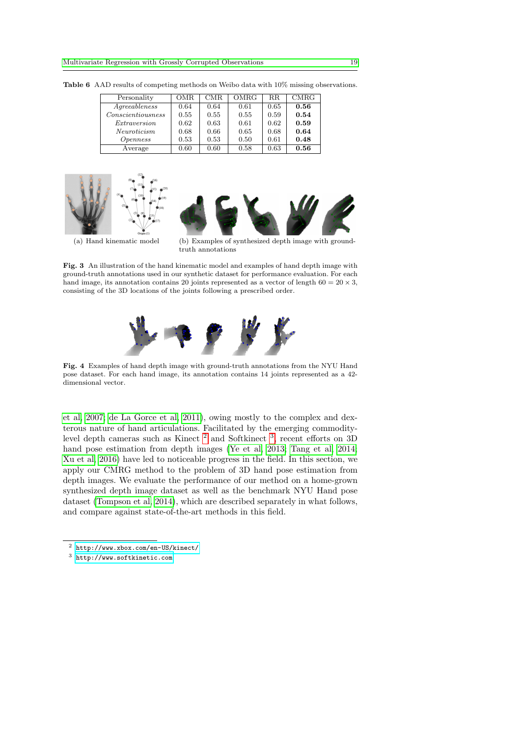<span id="page-18-0"></span>

| Personality       | OMR  | CMR. | OMRG | R.R. | <b>CMRG</b> |
|-------------------|------|------|------|------|-------------|
| Agreeableness     | 0.64 | 0.64 | 0.61 | 0.65 | 0.56        |
| Conscientiousness | 0.55 | 0.55 | 0.55 | 0.59 | 0.54        |
| Extraversion      | 0.62 | 0.63 | 0.61 | 0.62 | 0.59        |
| Neuroticism       | 0.68 | 0.66 | 0.65 | 0.68 | 0.64        |
| <i>Openness</i>   | 0.53 | 0.53 | 0.50 | 0.61 | 0.48        |
| Average           | 0.60 | 0.60 | 0.58 | 0.63 | 0.56        |

Table 6 AAD results of competing methods on Weibo data with 10% missing observations.





(a) Hand kinematic model (b) Examples of synthesized depth image with groundtruth annotations

<span id="page-18-3"></span>Fig. 3 An illustration of the hand kinematic model and examples of hand depth image with ground-truth annotations used in our synthetic dataset for performance evaluation. For each hand image, its annotation contains 20 joints represented as a vector of length 60 =  $20 \times 3$ , consisting of the 3D locations of the joints following a prescribed order.



<span id="page-18-4"></span>Fig. 4 Examples of hand depth image with ground-truth annotations from the NYU Hand pose dataset. For each hand image, its annotation contains 14 joints represented as a 42 dimensional vector.

[et al, 2007;](#page-22-5) [de La Gorce et al, 2011\)](#page-23-11), owing mostly to the complex and dexterous nature of hand articulations. Facilitated by the emerging commodity-level depth cameras such as Kinect<sup>[2](#page-18-1)</sup> and Softkinect<sup>[3](#page-18-2)</sup>, recent efforts on 3D hand pose estimation from depth images [\(Ye et al, 2013;](#page-24-12) [Tang et al, 2014;](#page-24-8) [Xu et al, 2016\)](#page-24-9) have led to noticeable progress in the field. In this section, we apply our CMRG method to the problem of 3D hand pose estimation from depth images. We evaluate the performance of our method on a home-grown synthesized depth image dataset as well as the benchmark NYU Hand pose dataset [\(Tompson et al, 2014\)](#page-24-10), which are described separately in what follows, and compare against state-of-the-art methods in this field.

<span id="page-18-1"></span><sup>2</sup> <http://www.xbox.com/en-US/kinect/>

<span id="page-18-2"></span><sup>3</sup> <http://www.softkinetic.com>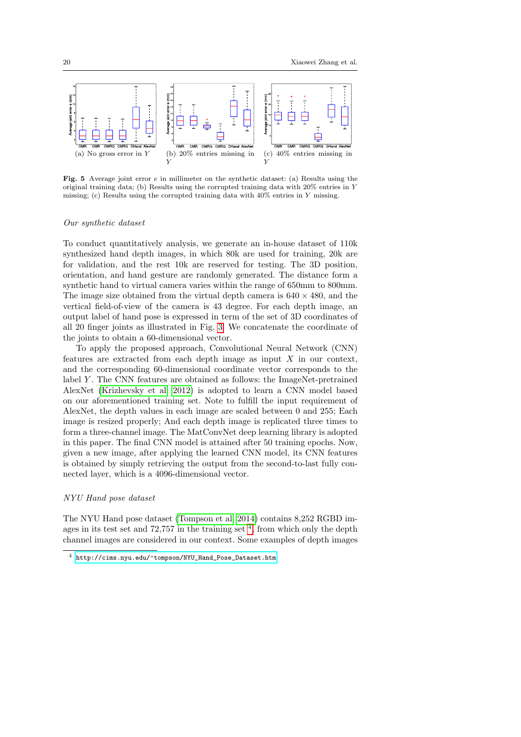

<span id="page-19-1"></span>**Fig. 5** Average joint error  $e$  in millimeter on the synthetic dataset: (a) Results using the original training data; (b) Results using the corrupted training data with  $20\%$  entries in Y missing; (c) Results using the corrupted training data with 40% entries in Y missing.

#### Our synthetic dataset

To conduct quantitatively analysis, we generate an in-house dataset of 110k synthesized hand depth images, in which 80k are used for training, 20k are for validation, and the rest 10k are reserved for testing. The 3D position, orientation, and hand gesture are randomly generated. The distance form a synthetic hand to virtual camera varies within the range of 650mm to 800mm. The image size obtained from the virtual depth camera is  $640 \times 480$ , and the vertical field-of-view of the camera is 43 degree. For each depth image, an output label of hand pose is expressed in term of the set of 3D coordinates of all 20 finger joints as illustrated in Fig. [3.](#page-18-3) We concatenate the coordinate of the joints to obtain a 60-dimensional vector.

To apply the proposed approach, Convolutional Neural Network (CNN) features are extracted from each depth image as input  $X$  in our context, and the corresponding 60-dimensional coordinate vector corresponds to the label  $Y$ . The CNN features are obtained as follows: the ImageNet-pretrained AlexNet [\(Krizhevsky et al, 2012\)](#page-23-18) is adopted to learn a CNN model based on our aforementioned training set. Note to fulfill the input requirement of AlexNet, the depth values in each image are scaled between 0 and 255; Each image is resized properly; And each depth image is replicated three times to form a three-channel image. The MatConvNet deep learning library is adopted in this paper. The final CNN model is attained after 50 training epochs. Now, given a new image, after applying the learned CNN model, its CNN features is obtained by simply retrieving the output from the second-to-last fully connected layer, which is a 4096-dimensional vector.

#### NYU Hand pose dataset

The NYU Hand pose dataset [\(Tompson et al, 2014\)](#page-24-10) contains 8,252 RGBD images in its test set and  $72,757$  in the training set  $4$ , from which only the depth channel images are considered in our context. Some examples of depth images

<span id="page-19-0"></span><sup>4</sup> [http://cims.nyu.edu/~tompson/NYU\\_Hand\\_Pose\\_Dataset.htm](http://cims.nyu.edu/~tompson/NYU_Hand_Pose_Dataset.htm)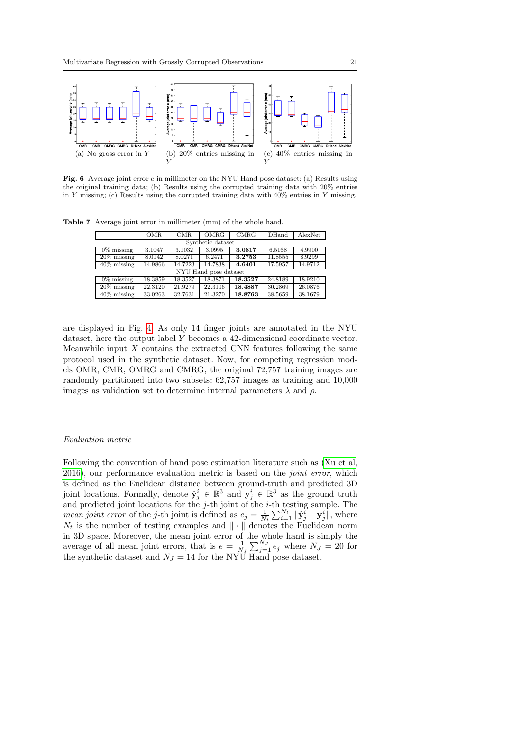

<span id="page-20-1"></span>Fig. 6 Average joint error e in millimeter on the NYU Hand pose dataset: (a) Results using the original training data; (b) Results using the corrupted training data with 20% entries in Y missing; (c) Results using the corrupted training data with  $40\%$  entries in Y missing.

Table 7 Average joint error in millimeter (mm) of the whole hand.

<span id="page-20-0"></span>

|                   | <b>OMR</b>            | CMR     | OMRG    | <b>CMRG</b> | <b>DHand</b> | AlexNet |  |  |  |
|-------------------|-----------------------|---------|---------|-------------|--------------|---------|--|--|--|
| Synthetic dataset |                       |         |         |             |              |         |  |  |  |
| $0\%$ missing     | 3.1047                | 3.1032  | 3.0995  | 3.0817      | 6.5168       | 4.9900  |  |  |  |
| $20\%$ missing    | 8.0142                | 8.0271  | 6.2471  | 3.2753      | 11.8555      | 8.9299  |  |  |  |
| $40\%$ missing    | 14.9866               | 14.7223 | 14.7838 | 4.6401      | 17.5957      | 14.9712 |  |  |  |
|                   | NYU Hand pose dataset |         |         |             |              |         |  |  |  |
| $0\%$ missing     | 18.3859               | 18.3527 | 18.3871 | 18.3527     | 24.8189      | 18.9210 |  |  |  |
| $20\%$ missing    | 22.3120               | 21.9279 | 22.3106 | 18.4887     | 30.2869      | 26.0876 |  |  |  |
| $40\%$ missing    | 33.0263               | 32.7631 | 21.3270 | 18.8763     | 38.5659      | 38.1679 |  |  |  |

are displayed in Fig. [4.](#page-18-4) As only 14 finger joints are annotated in the NYU dataset, here the output label Y becomes a 42-dimensional coordinate vector. Meanwhile input  $X$  contains the extracted CNN features following the same protocol used in the synthetic dataset. Now, for competing regression models OMR, CMR, OMRG and CMRG, the original 72,757 training images are randomly partitioned into two subsets: 62,757 images as training and 10,000 images as validation set to determine internal parameters  $\lambda$  and  $\rho$ .

#### Evaluation metric

Following the convention of hand pose estimation literature such as [\(Xu et al,](#page-24-9) [2016\)](#page-24-9), our performance evaluation metric is based on the joint error, which is defined as the Euclidean distance between ground-truth and predicted 3D joint locations. Formally, denote  $\hat{\mathbf{y}}_j^i \in \mathbb{R}^3$  and  $\mathbf{y}_j^i \in \mathbb{R}^3$  as the ground truth and predicted joint locations for the  $j$ -th joint of the  $i$ -th testing sample. The *mean joint error* of the *j*-th joint is defined as  $e_j = \frac{1}{N_t} \sum_{i=1}^{N_t} ||\hat{\mathbf{y}}_j^i - \mathbf{y}_j^i||$ , where  $N_t$  is the number of testing examples and  $\|\cdot\|$  denotes the Euclidean norm in 3D space. Moreover, the mean joint error of the whole hand is simply the average of all mean joint errors, that is  $e = \frac{1}{N_J} \sum_{j=1}^{N_J} e_j$  where  $N_J = 20$  for the synthetic dataset and  $N_J = 14$  for the NYU Hand pose dataset.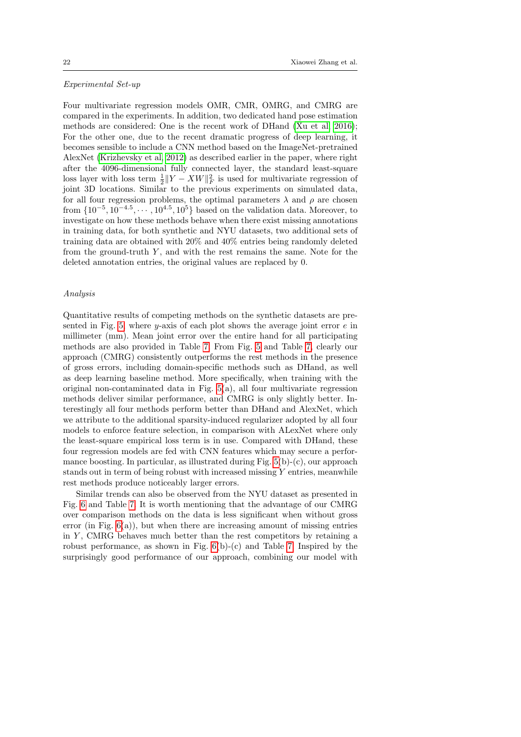#### Experimental Set-up

Four multivariate regression models OMR, CMR, OMRG, and CMRG are compared in the experiments. In addition, two dedicated hand pose estimation methods are considered: One is the recent work of DHand [\(Xu et al, 2016\)](#page-24-9); For the other one, due to the recent dramatic progress of deep learning, it becomes sensible to include a CNN method based on the ImageNet-pretrained AlexNet [\(Krizhevsky et al, 2012\)](#page-23-18) as described earlier in the paper, where right after the 4096-dimensional fully connected layer, the standard least-square loss layer with loss term  $\frac{1}{2}||Y - XW||_F^2$  is used for multivariate regression of joint 3D locations. Similar to the previous experiments on simulated data, for all four regression problems, the optimal parameters  $\lambda$  and  $\rho$  are chosen from  $\{10^{-5}, 10^{-4.5}, \dots, 10^{4.5}, 10^5\}$  based on the validation data. Moreover, to investigate on how these methods behave when there exist missing annotations in training data, for both synthetic and NYU datasets, two additional sets of training data are obtained with 20% and 40% entries being randomly deleted from the ground-truth  $Y$ , and with the rest remains the same. Note for the deleted annotation entries, the original values are replaced by 0.

#### Analysis

Quantitative results of competing methods on the synthetic datasets are pre-sented in Fig. [5,](#page-19-1) where y-axis of each plot shows the average joint error  $e$  in millimeter (mm). Mean joint error over the entire hand for all participating methods are also provided in Table [7.](#page-20-0) From Fig. [5](#page-19-1) and Table [7,](#page-20-0) clearly our approach (CMRG) consistently outperforms the rest methods in the presence of gross errors, including domain-specific methods such as DHand, as well as deep learning baseline method. More specifically, when training with the original non-contaminated data in Fig. [5\(](#page-19-1)a), all four multivariate regression methods deliver similar performance, and CMRG is only slightly better. Interestingly all four methods perform better than DHand and AlexNet, which we attribute to the additional sparsity-induced regularizer adopted by all four models to enforce feature selection, in comparison with ALexNet where only the least-square empirical loss term is in use. Compared with DHand, these four regression models are fed with CNN features which may secure a performance boosting. In particular, as illustrated during Fig.  $5(b)-(c)$ , our approach stands out in term of being robust with increased missing  $Y$  entries, meanwhile rest methods produce noticeably larger errors.

Similar trends can also be observed from the NYU dataset as presented in Fig. [6](#page-20-1) and Table [7.](#page-20-0) It is worth mentioning that the advantage of our CMRG over comparison methods on the data is less significant when without gross error (in Fig.  $6(a)$ ), but when there are increasing amount of missing entries in  $Y$ , CMRG behaves much better than the rest competitors by retaining a robust performance, as shown in Fig.  $6(b)-(c)$  and Table [7.](#page-20-0) Inspired by the surprisingly good performance of our approach, combining our model with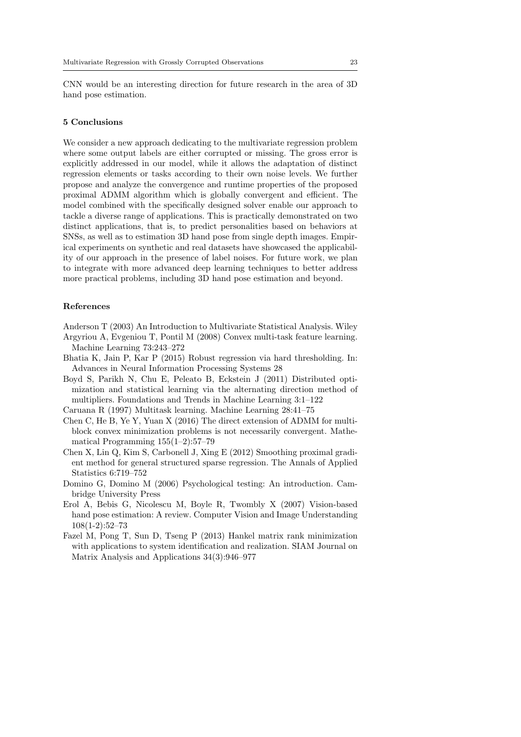CNN would be an interesting direction for future research in the area of 3D hand pose estimation.

# <span id="page-22-6"></span>5 Conclusions

We consider a new approach dedicating to the multivariate regression problem where some output labels are either corrupted or missing. The gross error is explicitly addressed in our model, while it allows the adaptation of distinct regression elements or tasks according to their own noise levels. We further propose and analyze the convergence and runtime properties of the proposed proximal ADMM algorithm which is globally convergent and efficient. The model combined with the specifically designed solver enable our approach to tackle a diverse range of applications. This is practically demonstrated on two distinct applications, that is, to predict personalities based on behaviors at SNSs, as well as to estimation 3D hand pose from single depth images. Empirical experiments on synthetic and real datasets have showcased the applicability of our approach in the presence of label noises. For future work, we plan to integrate with more advanced deep learning techniques to better address more practical problems, including 3D hand pose estimation and beyond.

#### References

<span id="page-22-1"></span><span id="page-22-0"></span>Anderson T (2003) An Introduction to Multivariate Statistical Analysis. Wiley Argyriou A, Evgeniou T, Pontil M (2008) Convex multi-task feature learning.

- Machine Learning 73:243–272
- <span id="page-22-3"></span>Bhatia K, Jain P, Kar P (2015) Robust regression via hard thresholding. In: Advances in Neural Information Processing Systems 28
- <span id="page-22-7"></span>Boyd S, Parikh N, Chu E, Peleato B, Eckstein J (2011) Distributed optimization and statistical learning via the alternating direction method of multipliers. Foundations and Trends in Machine Learning 3:1–122

<span id="page-22-2"></span>Caruana R (1997) Multitask learning. Machine Learning 28:41–75

- <span id="page-22-9"></span>Chen C, He B, Ye Y, Yuan X (2016) The direct extension of ADMM for multiblock convex minimization problems is not necessarily convergent. Mathematical Programming 155(1–2):57–79
- <span id="page-22-10"></span>Chen X, Lin Q, Kim S, Carbonell J, Xing E (2012) Smoothing proximal gradient method for general structured sparse regression. The Annals of Applied Statistics 6:719–752
- <span id="page-22-4"></span>Domino G, Domino M (2006) Psychological testing: An introduction. Cambridge University Press
- <span id="page-22-5"></span>Erol A, Bebis G, Nicolescu M, Boyle R, Twombly X (2007) Vision-based hand pose estimation: A review. Computer Vision and Image Understanding 108(1-2):52–73
- <span id="page-22-8"></span>Fazel M, Pong T, Sun D, Tseng P (2013) Hankel matrix rank minimization with applications to system identification and realization. SIAM Journal on Matrix Analysis and Applications 34(3):946–977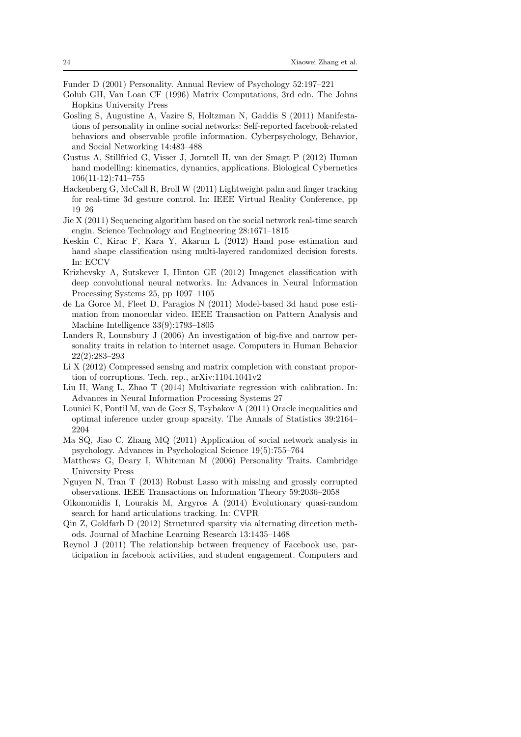<span id="page-23-5"></span>Funder D (2001) Personality. Annual Review of Psychology 52:197–221

- <span id="page-23-17"></span>Golub GH, Van Loan CF (1996) Matrix Computations, 3rd edn. The Johns Hopkins University Press
- <span id="page-23-10"></span>Gosling S, Augustine A, Vazire S, Holtzman N, Gaddis S (2011) Manifestations of personality in online social networks: Self-reported facebook-related behaviors and observable profile information. Cyberpsychology, Behavior, and Social Networking 14:483–488
- <span id="page-23-12"></span>Gustus A, Stillfried G, Visser J, Jorntell H, van der Smagt P (2012) Human hand modelling: kinematics, dynamics, applications. Biological Cybernetics 106(11-12):741–755
- <span id="page-23-13"></span>Hackenberg G, McCall R, Broll W (2011) Lightweight palm and finger tracking for real-time 3d gesture control. In: IEEE Virtual Reality Conference, pp 19–26
- <span id="page-23-8"></span>Jie X (2011) Sequencing algorithm based on the social network real-time search engin. Science Technology and Engineering 28:1671–1815
- <span id="page-23-14"></span>Keskin C, Kirac F, Kara Y, Akarun L (2012) Hand pose estimation and hand shape classification using multi-layered randomized decision forests. In: ECCV
- <span id="page-23-18"></span>Krizhevsky A, Sutskever I, Hinton GE (2012) Imagenet classification with deep convolutional neural networks. In: Advances in Neural Information Processing Systems 25, pp 1097–1105
- <span id="page-23-11"></span>de La Gorce M, Fleet D, Paragios N (2011) Model-based 3d hand pose estimation from monocular video. IEEE Transaction on Pattern Analysis and Machine Intelligence 33(9):1793–1805
- <span id="page-23-7"></span>Landers R, Lounsbury J (2006) An investigation of big-five and narrow personality traits in relation to internet usage. Computers in Human Behavior 22(2):283–293
- <span id="page-23-1"></span>Li X (2012) Compressed sensing and matrix completion with constant proportion of corruptions. Tech. rep., arXiv:1104.1041v2
- <span id="page-23-3"></span>Liu H, Wang L, Zhao T (2014) Multivariate regression with calibration. In: Advances in Neural Information Processing Systems 27
- <span id="page-23-0"></span>Lounici K, Pontil M, van de Geer S, Tsybakov A (2011) Oracle inequalities and optimal inference under group sparsity. The Annals of Statistics 39:2164– 2204
- <span id="page-23-4"></span>Ma SQ, Jiao C, Zhang MQ (2011) Application of social network analysis in psychology. Advances in Psychological Science 19(5):755–764
- <span id="page-23-6"></span>Matthews G, Deary I, Whiteman M (2006) Personality Traits. Cambridge University Press
- <span id="page-23-2"></span>Nguyen N, Tran T (2013) Robust Lasso with missing and grossly corrupted observations. IEEE Transactions on Information Theory 59:2036–2058
- <span id="page-23-15"></span>Oikonomidis I, Lourakis M, Argyros A (2014) Evolutionary quasi-random search for hand articulations tracking. In: CVPR
- <span id="page-23-16"></span>Qin Z, Goldfarb D (2012) Structured sparsity via alternating direction methods. Journal of Machine Learning Research 13:1435–1468
- <span id="page-23-9"></span>Reynol J (2011) The relationship between frequency of Facebook use, participation in facebook activities, and student engagement. Computers and